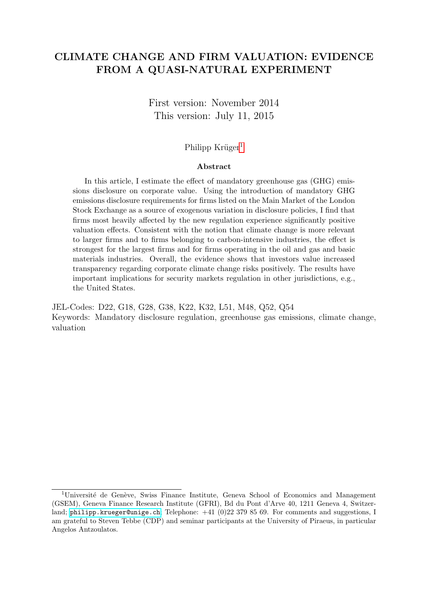# CLIMATE CHANGE AND FIRM VALUATION: EVIDENCE FROM A QUASI-NATURAL EXPERIMENT

First version: November 2014 This version: July 11, 2015

# Philipp Krüger $<sup>1</sup>$  $<sup>1</sup>$  $<sup>1</sup>$ </sup>

#### Abstract

In this article, I estimate the effect of mandatory greenhouse gas (GHG) emissions disclosure on corporate value. Using the introduction of mandatory GHG emissions disclosure requirements for firms listed on the Main Market of the London Stock Exchange as a source of exogenous variation in disclosure policies, I find that firms most heavily affected by the new regulation experience significantly positive valuation effects. Consistent with the notion that climate change is more relevant to larger firms and to firms belonging to carbon-intensive industries, the effect is strongest for the largest firms and for firms operating in the oil and gas and basic materials industries. Overall, the evidence shows that investors value increased transparency regarding corporate climate change risks positively. The results have important implications for security markets regulation in other jurisdictions, e.g., the United States.

JEL-Codes: D22, G18, G28, G38, K22, K32, L51, M48, Q52, Q54 Keywords: Mandatory disclosure regulation, greenhouse gas emissions, climate change, valuation

<span id="page-0-0"></span> $1$ Université de Genève, Swiss Finance Institute, Geneva School of Economics and Management (GSEM), Geneva Finance Research Institute (GFRI), Bd du Pont d'Arve 40, 1211 Geneva 4, Switzerland; <philipp.krueger@unige.ch>; Telephone:  $+41$  (0)22 379 85 69. For comments and suggestions, I am grateful to Steven Tebbe (CDP) and seminar participants at the University of Piraeus, in particular Angelos Antzoulatos.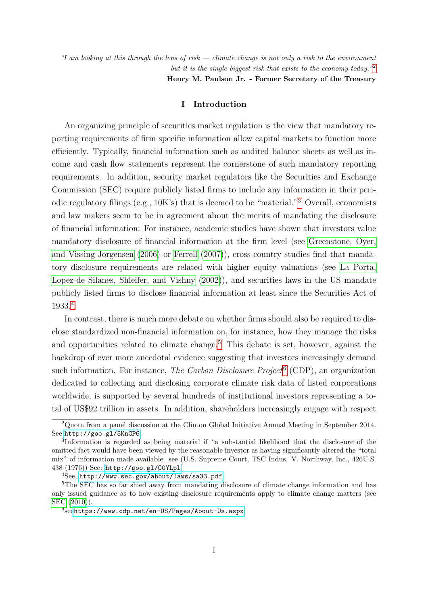"I am looking at this through the lens of risk — climate change is not only a risk to the environment but it is the single biggest risk that exists to the economy today."<sup>[2](#page-1-0)</sup>

Henry M. Paulson Jr. - Former Secretary of the Treasury

# I Introduction

An organizing principle of securities market regulation is the view that mandatory reporting requirements of firm specific information allow capital markets to function more efficiently. Typically, financial information such as audited balance sheets as well as income and cash flow statements represent the cornerstone of such mandatory reporting requirements. In addition, security market regulators like the Securities and Exchange Commission (SEC) require publicly listed firms to include any information in their periodic regulatory filings (e.g., 10K's) that is deemed to be "material."[3](#page-1-1) Overall, economists and law makers seem to be in agreement about the merits of mandating the disclosure of financial information: For instance, academic studies have shown that investors value mandatory disclosure of financial information at the firm level (see [Greenstone, Oyer,](#page-29-0) [and Vissing-Jorgensen](#page-29-0) [\(2006\)](#page-29-0) or [Ferrell](#page-29-1) [\(2007\)](#page-29-1)), cross-country studies find that mandatory disclosure requirements are related with higher equity valuations (see [La Porta,](#page-29-2) [Lopez-de Silanes, Shleifer, and Vishny](#page-29-2) [\(2002\)](#page-29-2)), and securities laws in the US mandate publicly listed firms to disclose financial information at least since the Securities Act of 1933.[4](#page-1-2)

In contrast, there is much more debate on whether firms should also be required to disclose standardized non-financial information on, for instance, how they manage the risks and opportunities related to climate change.<sup>[5](#page-1-3)</sup> This debate is set, however, against the backdrop of ever more anecdotal evidence suggesting that investors increasingly demand such information. For instance, *The Carbon Disclosure Project*<sup>[6](#page-1-4)</sup> (CDP), an organization dedicated to collecting and disclosing corporate climate risk data of listed corporations worldwide, is supported by several hundreds of institutional investors representing a total of US\$92 trillion in assets. In addition, shareholders increasingly engage with respect

<span id="page-1-0"></span><sup>2</sup>Quote from a panel discussion at the Clinton Global Initiative Annual Meeting in September 2014. See <http://goo.gl/5KnGP6>

<span id="page-1-1"></span><sup>3</sup> Information is regarded as being material if "a substantial likelihood that the disclosure of the omitted fact would have been viewed by the reasonable investor as having significantly altered the "total mix" of information made available. see (U.S. Supreme Court, TSC Indus. V. Northway, Inc., 426U.S. 438 (1976)) See: <http://goo.gl/O0YLpl>

<span id="page-1-3"></span><span id="page-1-2"></span><sup>4</sup>See, <http://www.sec.gov/about/laws/sa33.pdf>

<sup>&</sup>lt;sup>5</sup>The SEC has so far shied away from mandating disclosure of climate change information and has only issued guidance as to how existing disclosure requirements apply to climate change matters (see [SEC](#page-30-0) [\(2010\)](#page-30-0)).

<span id="page-1-4"></span> $^6$ see<https://www.cdp.net/en-US/Pages/About-Us.aspx>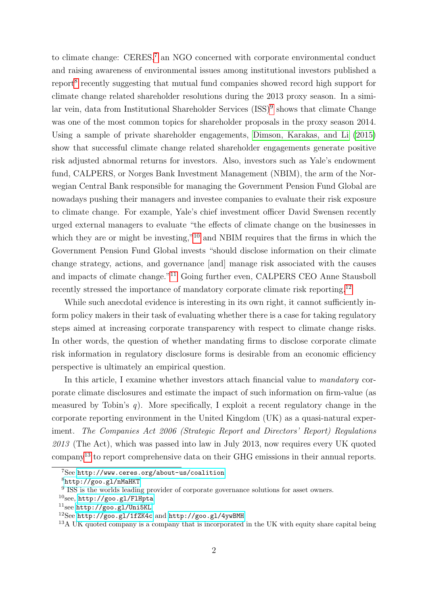to climate change: CERES,<sup>[7](#page-2-0)</sup> an NGO concerned with corporate environmental conduct and raising awareness of environmental issues among institutional investors published a report<sup>[8](#page-2-1)</sup> recently suggesting that mutual fund companies showed record high support for climate change related shareholder resolutions during the 2013 proxy season. In a simi-lar vein, data from Institutional Shareholder Services (ISS)<sup>[9](#page-2-2)</sup> shows that climate Change was one of the most common topics for shareholder proposals in the proxy season 2014. Using a sample of private shareholder engagements, [Dimson, Karakas, and Li](#page-29-3) [\(2015\)](#page-29-3) show that successful climate change related shareholder engagements generate positive risk adjusted abnormal returns for investors. Also, investors such as Yale's endowment fund, CALPERS, or Norges Bank Investment Management (NBIM), the arm of the Norwegian Central Bank responsible for managing the Government Pension Fund Global are nowadays pushing their managers and investee companies to evaluate their risk exposure to climate change. For example, Yale's chief investment officer David Swensen recently urged external managers to evaluate "the effects of climate change on the businesses in which they are or might be investing,"<sup>[10](#page-2-3)</sup> and NBIM requires that the firms in which the Government Pension Fund Global invests "should disclose information on their climate change strategy, actions, and governance [and] manage risk associated with the causes and impacts of climate change."[11](#page-2-4) Going further even, CALPERS CEO Anne Stausboll recently stressed the importance of mandatory corporate climate risk reporting.<sup>[12](#page-2-5)</sup>

While such anecdotal evidence is interesting in its own right, it cannot sufficiently inform policy makers in their task of evaluating whether there is a case for taking regulatory steps aimed at increasing corporate transparency with respect to climate change risks. In other words, the question of whether mandating firms to disclose corporate climate risk information in regulatory disclosure forms is desirable from an economic efficiency perspective is ultimately an empirical question.

In this article, I examine whether investors attach financial value to mandatory corporate climate disclosures and estimate the impact of such information on firm-value (as measured by Tobin's  $q$ ). More specifically, I exploit a recent regulatory change in the corporate reporting environment in the United Kingdom (UK) as a quasi-natural experiment. The Companies Act 2006 (Strategic Report and Directors' Report) Regulations  $2013$  (The Act), which was passed into law in July 2013, now requires every UK quoted company[13](#page-2-6) to report comprehensive data on their GHG emissions in their annual reports.

<span id="page-2-0"></span><sup>7</sup>See <http://www.ceres.org/about-us/coalition>

<span id="page-2-1"></span><sup>8</sup><http://goo.gl/nMaHKT>

<span id="page-2-2"></span><sup>&</sup>lt;sup>9</sup> ISS is the worlds leading provider of corporate governance solutions for asset owners.

<span id="page-2-3"></span> $10$ see, <http://goo.gl/FlHpta>

<span id="page-2-4"></span> $11$ see <http://goo.gl/Uni5KL>

<span id="page-2-5"></span><sup>12</sup>See <http://goo.gl/1fZK4c> and <http://goo.gl/4ywBMH>

<span id="page-2-6"></span><sup>&</sup>lt;sup>13</sup>A UK quoted company is a company that is incorporated in the UK with equity share capital being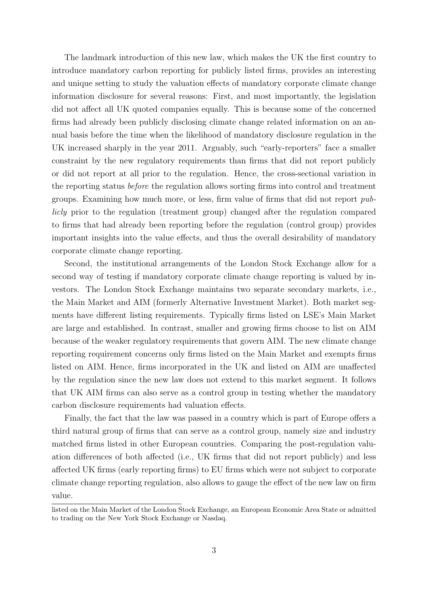The landmark introduction of this new law, which makes the UK the first country to introduce mandatory carbon reporting for publicly listed firms, provides an interesting and unique setting to study the valuation effects of mandatory corporate climate change information disclosure for several reasons: First, and most importantly, the legislation did not affect all UK quoted companies equally. This is because some of the concerned firms had already been publicly disclosing climate change related information on an annual basis before the time when the likelihood of mandatory disclosure regulation in the UK increased sharply in the year 2011. Arguably, such "early-reporters" face a smaller constraint by the new regulatory requirements than firms that did not report publicly or did not report at all prior to the regulation. Hence, the cross-sectional variation in the reporting status before the regulation allows sorting firms into control and treatment groups. Examining how much more, or less, firm value of firms that did not report publicly prior to the regulation (treatment group) changed after the regulation compared to firms that had already been reporting before the regulation (control group) provides important insights into the value effects, and thus the overall desirability of mandatory corporate climate change reporting.

Second, the institutional arrangements of the London Stock Exchange allow for a second way of testing if mandatory corporate climate change reporting is valued by investors. The London Stock Exchange maintains two separate secondary markets, i.e., the Main Market and AIM (formerly Alternative Investment Market). Both market segments have different listing requirements. Typically firms listed on LSE's Main Market are large and established. In contrast, smaller and growing firms choose to list on AIM because of the weaker regulatory requirements that govern AIM. The new climate change reporting requirement concerns only firms listed on the Main Market and exempts firms listed on AIM. Hence, firms incorporated in the UK and listed on AIM are unaffected by the regulation since the new law does not extend to this market segment. It follows that UK AIM firms can also serve as a control group in testing whether the mandatory carbon disclosure requirements had valuation effects.

Finally, the fact that the law was passed in a country which is part of Europe offers a third natural group of firms that can serve as a control group, namely size and industry matched firms listed in other European countries. Comparing the post-regulation valuation differences of both affected (i.e., UK firms that did not report publicly) and less affected UK firms (early reporting firms) to EU firms which were not subject to corporate climate change reporting regulation, also allows to gauge the effect of the new law on firm value.

listed on the Main Market of the London Stock Exchange, an European Economic Area State or admitted to trading on the New York Stock Exchange or Nasdaq.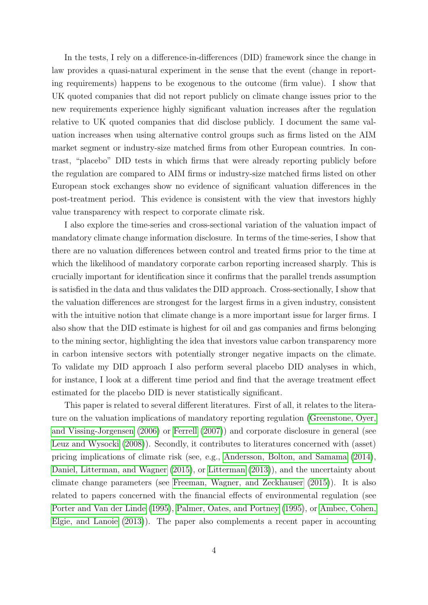In the tests, I rely on a difference-in-differences (DID) framework since the change in law provides a quasi-natural experiment in the sense that the event (change in reporting requirements) happens to be exogenous to the outcome (firm value). I show that UK quoted companies that did not report publicly on climate change issues prior to the new requirements experience highly significant valuation increases after the regulation relative to UK quoted companies that did disclose publicly. I document the same valuation increases when using alternative control groups such as firms listed on the AIM market segment or industry-size matched firms from other European countries. In contrast, "placebo" DID tests in which firms that were already reporting publicly before the regulation are compared to AIM firms or industry-size matched firms listed on other European stock exchanges show no evidence of significant valuation differences in the post-treatment period. This evidence is consistent with the view that investors highly value transparency with respect to corporate climate risk.

I also explore the time-series and cross-sectional variation of the valuation impact of mandatory climate change information disclosure. In terms of the time-series, I show that there are no valuation differences between control and treated firms prior to the time at which the likelihood of mandatory corporate carbon reporting increased sharply. This is crucially important for identification since it confirms that the parallel trends assumption is satisfied in the data and thus validates the DID approach. Cross-sectionally, I show that the valuation differences are strongest for the largest firms in a given industry, consistent with the intuitive notion that climate change is a more important issue for larger firms. I also show that the DID estimate is highest for oil and gas companies and firms belonging to the mining sector, highlighting the idea that investors value carbon transparency more in carbon intensive sectors with potentially stronger negative impacts on the climate. To validate my DID approach I also perform several placebo DID analyses in which, for instance, I look at a different time period and find that the average treatment effect estimated for the placebo DID is never statistically significant.

This paper is related to several different literatures. First of all, it relates to the literature on the valuation implications of mandatory reporting regulation [\(Greenstone, Oyer,](#page-29-0) [and Vissing-Jorgensen](#page-29-0) [\(2006\)](#page-29-0) or [Ferrell](#page-29-1) [\(2007\)](#page-29-1)) and corporate disclosure in general (see [Leuz and Wysocki](#page-29-4) [\(2008\)](#page-29-4)). Secondly, it contributes to literatures concerned with (asset) pricing implications of climate risk (see, e.g., [Andersson, Bolton, and Samama](#page-28-0) [\(2014\)](#page-28-0), [Daniel, Litterman, and Wagner](#page-28-1) [\(2015\)](#page-28-1), or [Litterman](#page-29-5) [\(2013\)](#page-29-5)), and the uncertainty about climate change parameters (see [Freeman, Wagner, and Zeckhauser](#page-29-6) [\(2015\)](#page-29-6)). It is also related to papers concerned with the financial effects of environmental regulation (see [Porter and Van der Linde](#page-29-7) [\(1995\)](#page-29-7), [Palmer, Oates, and Portney](#page-29-8) [\(1995\)](#page-29-8), or [Ambec, Cohen,](#page-28-2) [Elgie, and Lanoie](#page-28-2) [\(2013\)](#page-28-2)). The paper also complements a recent paper in accounting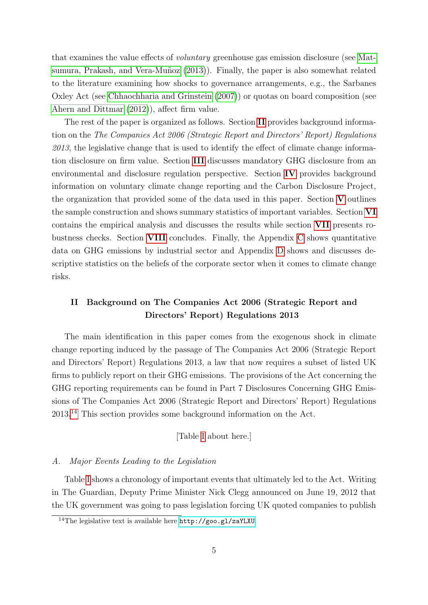that examines the value effects of voluntary greenhouse gas emission disclosure (see [Mat-](#page-29-9)sumura, Prakash, and Vera-Muñoz [\(2013\)](#page-29-9)). Finally, the paper is also somewhat related to the literature examining how shocks to governance arrangements, e.g., the Sarbanes Oxley Act (see [Chhaochharia and Grinstein](#page-28-3) [\(2007\)](#page-28-3)) or quotas on board composition (see [Ahern and Dittmar](#page-28-4) [\(2012\)](#page-28-4)), affect firm value.

The rest of the paper is organized as follows. Section [II](#page-5-0) provides background information on the The Companies Act 2006 (Strategic Report and Directors' Report) Regulations  $2013$ , the legislative change that is used to identify the effect of climate change information disclosure on firm value. Section [III](#page-9-0) discusses mandatory GHG disclosure from an environmental and disclosure regulation perspective. Section [IV](#page-13-0) provides background information on voluntary climate change reporting and the Carbon Disclosure Project, the organization that provided some of the data used in this paper. Section  $V$  outlines the sample construction and shows summary statistics of important variables. Section [VI](#page-17-0) contains the empirical analysis and discusses the results while section [VII](#page-24-0) presents robustness checks. Section [VIII](#page-26-0) concludes. Finally, the Appendix [C](#page-46-0) shows quantitative data on GHG emissions by industrial sector and Appendix [D](#page-51-0) shows and discusses descriptive statistics on the beliefs of the corporate sector when it comes to climate change risks.

# <span id="page-5-0"></span>II Background on The Companies Act 2006 (Strategic Report and Directors' Report) Regulations 2013

The main identification in this paper comes from the exogenous shock in climate change reporting induced by the passage of The Companies Act 2006 (Strategic Report and Directors' Report) Regulations 2013, a law that now requires a subset of listed UK firms to publicly report on their GHG emissions. The provisions of the Act concerning the GHG reporting requirements can be found in Part 7 Disclosures Concerning GHG Emissions of The Companies Act 2006 (Strategic Report and Directors' Report) Regulations 2013.[14](#page-5-1) This section provides some background information on the Act.

# [Table [I](#page-33-0) about here.]

# A. Major Events Leading to the Legislation

Table [I](#page-33-0) shows a chronology of important events that ultimately led to the Act. Writing in The Guardian, Deputy Prime Minister Nick Clegg announced on June 19, 2012 that the UK government was going to pass legislation forcing UK quoted companies to publish

<span id="page-5-1"></span><sup>14</sup>The legislative text is available here <http://goo.gl/zaYLXU>.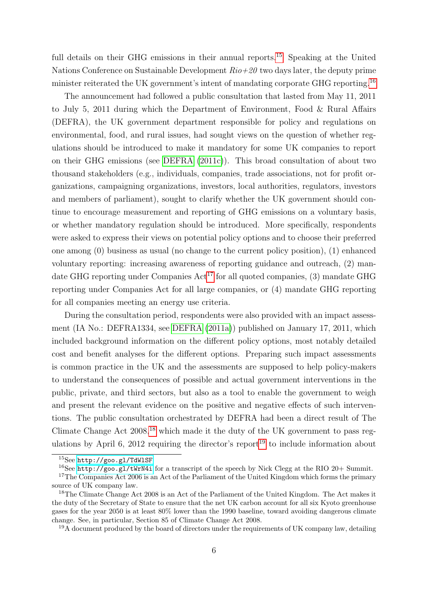full details on their GHG emissions in their annual reports.<sup>[15](#page-6-0)</sup> Speaking at the United Nations Conference on Sustainable Development  $Rio+20$  two days later, the deputy prime minister reiterated the UK government's intent of mandating corporate GHG reporting.<sup>[16](#page-6-1)</sup>

The announcement had followed a public consultation that lasted from May 11, 2011 to July 5, 2011 during which the Department of Environment, Food & Rural Affairs (DEFRA), the UK government department responsible for policy and regulations on environmental, food, and rural issues, had sought views on the question of whether regulations should be introduced to make it mandatory for some UK companies to report on their GHG emissions (see [DEFRA](#page-28-5) [\(2011c\)](#page-28-5)). This broad consultation of about two thousand stakeholders (e.g., individuals, companies, trade associations, not for profit organizations, campaigning organizations, investors, local authorities, regulators, investors and members of parliament), sought to clarify whether the UK government should continue to encourage measurement and reporting of GHG emissions on a voluntary basis, or whether mandatory regulation should be introduced. More specifically, respondents were asked to express their views on potential policy options and to choose their preferred one among (0) business as usual (no change to the current policy position), (1) enhanced voluntary reporting: increasing awareness of reporting guidance and outreach, (2) mandate GHG reporting under Companies  $\text{Act}^{17}$  $\text{Act}^{17}$  $\text{Act}^{17}$  for all quoted companies, (3) mandate GHG reporting under Companies Act for all large companies, or (4) mandate GHG reporting for all companies meeting an energy use criteria.

During the consultation period, respondents were also provided with an impact assessment (IA No.: DEFRA1334, see [DEFRA](#page-28-6) [\(2011a\)](#page-28-6)) published on January 17, 2011, which included background information on the different policy options, most notably detailed cost and benefit analyses for the different options. Preparing such impact assessments is common practice in the UK and the assessments are supposed to help policy-makers to understand the consequences of possible and actual government interventions in the public, private, and third sectors, but also as a tool to enable the government to weigh and present the relevant evidence on the positive and negative effects of such interventions. The public consultation orchestrated by DEFRA had been a direct result of The Climate Change Act  $2008$ ,<sup>[18](#page-6-3)</sup> which made it the duty of the UK government to pass reg-ulations by April 6, 2012 requiring the director's report<sup>[19](#page-6-4)</sup> to include information about

<span id="page-6-0"></span><sup>15</sup>See <http://goo.gl/TdWlSF>

<span id="page-6-2"></span><span id="page-6-1"></span><sup>16</sup>See <http://goo.gl/tWrN4i> for a transcript of the speech by Nick Clegg at the RIO 20+ Summit.

<sup>&</sup>lt;sup>17</sup>The Companies Act 2006 is an Act of the Parliament of the United Kingdom which forms the primary source of UK company law.

<span id="page-6-3"></span><sup>&</sup>lt;sup>18</sup>The Climate Change Act 2008 is an Act of the Parliament of the United Kingdom. The Act makes it the duty of the Secretary of State to ensure that the net UK carbon account for all six Kyoto greenhouse gases for the year 2050 is at least 80% lower than the 1990 baseline, toward avoiding dangerous climate change. See, in particular, Section 85 of Climate Change Act 2008.

<span id="page-6-4"></span><sup>&</sup>lt;sup>19</sup>A document produced by the board of directors under the requirements of UK company law, detailing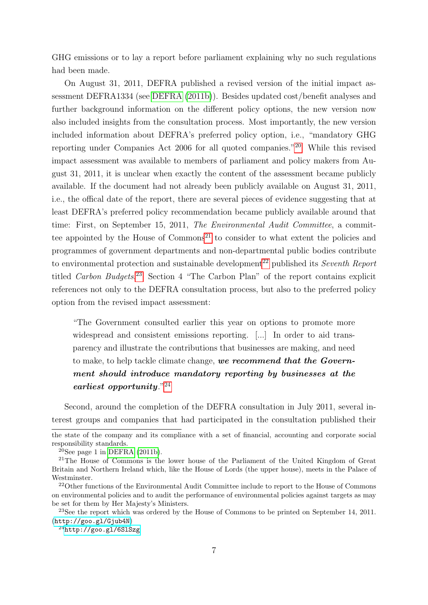GHG emissions or to lay a report before parliament explaining why no such regulations had been made.

On August 31, 2011, DEFRA published a revised version of the initial impact assessment DEFRA1334 (see [DEFRA](#page-28-7) [\(2011b\)](#page-28-7)). Besides updated cost/benefit analyses and further background information on the different policy options, the new version now also included insights from the consultation process. Most importantly, the new version included information about DEFRA's preferred policy option, i.e., "mandatory GHG reporting under Companies Act 2006 for all quoted companies."[20](#page-7-0) While this revised impact assessment was available to members of parliament and policy makers from August 31, 2011, it is unclear when exactly the content of the assessment became publicly available. If the document had not already been publicly available on August 31, 2011, i.e., the offical date of the report, there are several pieces of evidence suggesting that at least DEFRA's preferred policy recommendation became publicly available around that time: First, on September 15, 2011, The Environmental Audit Committee, a committee appointed by the House of  $Commons<sup>21</sup>$  $Commons<sup>21</sup>$  $Commons<sup>21</sup>$  to consider to what extent the policies and programmes of government departments and non-departmental public bodies contribute to environmental protection and sustainable development<sup>[22](#page-7-2)</sup> published its Seventh Report titled Carbon Budgets.<sup>[23](#page-7-3)</sup> Section 4 "The Carbon Plan" of the report contains explicit references not only to the DEFRA consultation process, but also to the preferred policy option from the revised impact assessment:

"The Government consulted earlier this year on options to promote more widespread and consistent emissions reporting. [...] In order to aid transparency and illustrate the contributions that businesses are making, and need to make, to help tackle climate change, we recommend that the Government should introduce mandatory reporting by businesses at the earliest opportunity."<sup>[24](#page-7-4)</sup>

Second, around the completion of the DEFRA consultation in July 2011, several interest groups and companies that had participated in the consultation published their

the state of the company and its compliance with a set of financial, accounting and corporate social responsibility standards.

<span id="page-7-1"></span><span id="page-7-0"></span> $20$ See page 1 in [DEFRA](#page-28-7) [\(2011b\)](#page-28-7).

<sup>&</sup>lt;sup>21</sup>The House of Commons is the lower house of the Parliament of the United Kingdom of Great Britain and Northern Ireland which, like the House of Lords (the upper house), meets in the Palace of **Westminster** 

<span id="page-7-2"></span><sup>&</sup>lt;sup>22</sup>Other functions of the Environmental Audit Committee include to report to the House of Commons on environmental policies and to audit the performance of environmental policies against targets as may be set for them by Her Majesty's Ministers.

<span id="page-7-3"></span><sup>&</sup>lt;sup>23</sup>See the report which was ordered by the House of Commons to be printed on September 14, 2011. (<http://goo.gl/Gjub4N>)

<span id="page-7-4"></span> $^{24}$ <http://goo.gl/6SlSzg>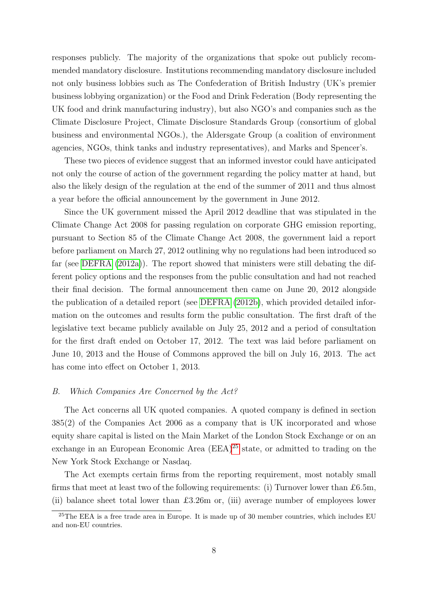responses publicly. The majority of the organizations that spoke out publicly recommended mandatory disclosure. Institutions recommending mandatory disclosure included not only business lobbies such as The Confederation of British Industry (UK's premier business lobbying organization) or the Food and Drink Federation (Body representing the UK food and drink manufacturing industry), but also NGO's and companies such as the Climate Disclosure Project, Climate Disclosure Standards Group (consortium of global business and environmental NGOs.), the Aldersgate Group (a coalition of environment agencies, NGOs, think tanks and industry representatives), and Marks and Spencer's.

These two pieces of evidence suggest that an informed investor could have anticipated not only the course of action of the government regarding the policy matter at hand, but also the likely design of the regulation at the end of the summer of 2011 and thus almost a year before the official announcement by the government in June 2012.

Since the UK government missed the April 2012 deadline that was stipulated in the Climate Change Act 2008 for passing regulation on corporate GHG emission reporting, pursuant to Section 85 of the Climate Change Act 2008, the government laid a report before parliament on March 27, 2012 outlining why no regulations had been introduced so far (see [DEFRA](#page-28-8) [\(2012a\)](#page-28-8)). The report showed that ministers were still debating the different policy options and the responses from the public consultation and had not reached their final decision. The formal announcement then came on June 20, 2012 alongside the publication of a detailed report (see [DEFRA](#page-29-10) [\(2012b\)](#page-29-10), which provided detailed information on the outcomes and results form the public consultation. The first draft of the legislative text became publicly available on July 25, 2012 and a period of consultation for the first draft ended on October 17, 2012. The text was laid before parliament on June 10, 2013 and the House of Commons approved the bill on July 16, 2013. The act has come into effect on October 1, 2013.

# B. Which Companies Are Concerned by the Act?

The Act concerns all UK quoted companies. A quoted company is defined in section 385(2) of the Companies Act 2006 as a company that is UK incorporated and whose equity share capital is listed on the Main Market of the London Stock Exchange or on an exchange in an European Economic Area (EEA)[25](#page-8-0) state, or admitted to trading on the New York Stock Exchange or Nasdaq.

The Act exempts certain firms from the reporting requirement, most notably small firms that meet at least two of the following requirements: (i) Turnover lower than £6.5m, (ii) balance sheet total lower than £3.26m or, (iii) average number of employees lower

<span id="page-8-0"></span><sup>&</sup>lt;sup>25</sup>The EEA is a free trade area in Europe. It is made up of 30 member countries, which includes EU and non-EU countries.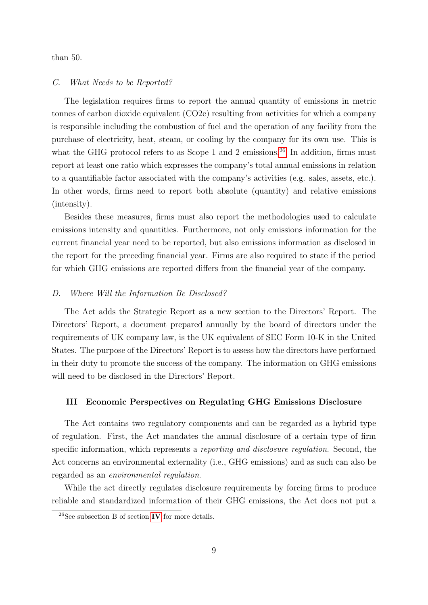than 50.

# C. What Needs to be Reported?

The legislation requires firms to report the annual quantity of emissions in metric tonnes of carbon dioxide equivalent (CO2e) resulting from activities for which a company is responsible including the combustion of fuel and the operation of any facility from the purchase of electricity, heat, steam, or cooling by the company for its own use. This is what the GHG protocol refers to as Scope 1 and 2 emissions.<sup>[26](#page-9-1)</sup> In addition, firms must report at least one ratio which expresses the company's total annual emissions in relation to a quantifiable factor associated with the company's activities (e.g. sales, assets, etc.). In other words, firms need to report both absolute (quantity) and relative emissions (intensity).

Besides these measures, firms must also report the methodologies used to calculate emissions intensity and quantities. Furthermore, not only emissions information for the current financial year need to be reported, but also emissions information as disclosed in the report for the preceding financial year. Firms are also required to state if the period for which GHG emissions are reported differs from the financial year of the company.

# D. Where Will the Information Be Disclosed?

The Act adds the Strategic Report as a new section to the Directors' Report. The Directors' Report, a document prepared annually by the board of directors under the requirements of UK company law, is the UK equivalent of SEC Form 10-K in the United States. The purpose of the Directors' Report is to assess how the directors have performed in their duty to promote the success of the company. The information on GHG emissions will need to be disclosed in the Directors' Report.

# <span id="page-9-0"></span>III Economic Perspectives on Regulating GHG Emissions Disclosure

The Act contains two regulatory components and can be regarded as a hybrid type of regulation. First, the Act mandates the annual disclosure of a certain type of firm specific information, which represents a reporting and disclosure regulation. Second, the Act concerns an environmental externality (i.e., GHG emissions) and as such can also be regarded as an environmental regulation.

While the act directly regulates disclosure requirements by forcing firms to produce reliable and standardized information of their GHG emissions, the Act does not put a

<span id="page-9-1"></span> $26$ See subsection B of section [IV](#page-13-0) for more details.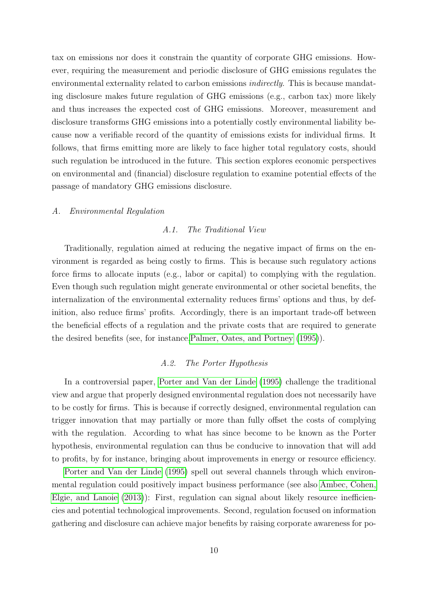tax on emissions nor does it constrain the quantity of corporate GHG emissions. However, requiring the measurement and periodic disclosure of GHG emissions regulates the environmental externality related to carbon emissions indirectly. This is because mandating disclosure makes future regulation of GHG emissions (e.g., carbon tax) more likely and thus increases the expected cost of GHG emissions. Moreover, measurement and disclosure transforms GHG emissions into a potentially costly environmental liability because now a verifiable record of the quantity of emissions exists for individual firms. It follows, that firms emitting more are likely to face higher total regulatory costs, should such regulation be introduced in the future. This section explores economic perspectives on environmental and (financial) disclosure regulation to examine potential effects of the passage of mandatory GHG emissions disclosure.

# A. Environmental Regulation

# A.1. The Traditional View

Traditionally, regulation aimed at reducing the negative impact of firms on the environment is regarded as being costly to firms. This is because such regulatory actions force firms to allocate inputs (e.g., labor or capital) to complying with the regulation. Even though such regulation might generate environmental or other societal benefits, the internalization of the environmental externality reduces firms' options and thus, by definition, also reduce firms' profits. Accordingly, there is an important trade-off between the beneficial effects of a regulation and the private costs that are required to generate the desired benefits (see, for instance[,Palmer, Oates, and Portney](#page-29-8) [\(1995\)](#page-29-8)).

# A.2. The Porter Hypothesis

In a controversial paper, [Porter and Van der Linde](#page-29-7) [\(1995\)](#page-29-7) challenge the traditional view and argue that properly designed environmental regulation does not necessarily have to be costly for firms. This is because if correctly designed, environmental regulation can trigger innovation that may partially or more than fully offset the costs of complying with the regulation. According to what has since become to be known as the Porter hypothesis, environmental regulation can thus be conducive to innovation that will add to profits, by for instance, bringing about improvements in energy or resource efficiency.

[Porter and Van der Linde](#page-29-7) [\(1995\)](#page-29-7) spell out several channels through which environmental regulation could positively impact business performance (see also [Ambec, Cohen,](#page-28-2) [Elgie, and Lanoie](#page-28-2) [\(2013\)](#page-28-2)): First, regulation can signal about likely resource inefficiencies and potential technological improvements. Second, regulation focused on information gathering and disclosure can achieve major benefits by raising corporate awareness for po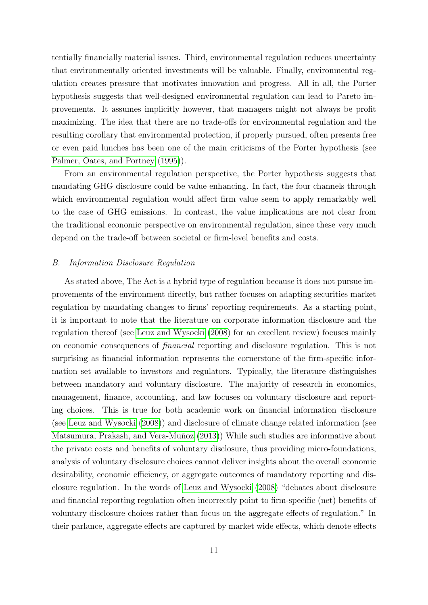tentially financially material issues. Third, environmental regulation reduces uncertainty that environmentally oriented investments will be valuable. Finally, environmental regulation creates pressure that motivates innovation and progress. All in all, the Porter hypothesis suggests that well-designed environmental regulation can lead to Pareto improvements. It assumes implicitly however, that managers might not always be profit maximizing. The idea that there are no trade-offs for environmental regulation and the resulting corollary that environmental protection, if properly pursued, often presents free or even paid lunches has been one of the main criticisms of the Porter hypothesis (see [Palmer, Oates, and Portney](#page-29-8) [\(1995\)](#page-29-8)).

From an environmental regulation perspective, the Porter hypothesis suggests that mandating GHG disclosure could be value enhancing. In fact, the four channels through which environmental regulation would affect firm value seem to apply remarkably well to the case of GHG emissions. In contrast, the value implications are not clear from the traditional economic perspective on environmental regulation, since these very much depend on the trade-off between societal or firm-level benefits and costs.

# B. Information Disclosure Regulation

As stated above, The Act is a hybrid type of regulation because it does not pursue improvements of the environment directly, but rather focuses on adapting securities market regulation by mandating changes to firms' reporting requirements. As a starting point, it is important to note that the literature on corporate information disclosure and the regulation thereof (see [Leuz and Wysocki](#page-29-4) [\(2008\)](#page-29-4) for an excellent review) focuses mainly on economic consequences of financial reporting and disclosure regulation. This is not surprising as financial information represents the cornerstone of the firm-specific information set available to investors and regulators. Typically, the literature distinguishes between mandatory and voluntary disclosure. The majority of research in economics, management, finance, accounting, and law focuses on voluntary disclosure and reporting choices. This is true for both academic work on financial information disclosure (see [Leuz and Wysocki](#page-29-4) [\(2008\)](#page-29-4)) and disclosure of climate change related information (see Matsumura, Prakash, and Vera-Muñoz [\(2013\)](#page-29-9)) While such studies are informative about the private costs and benefits of voluntary disclosure, thus providing micro-foundations, analysis of voluntary disclosure choices cannot deliver insights about the overall economic desirability, economic efficiency, or aggregate outcomes of mandatory reporting and disclosure regulation. In the words of [Leuz and Wysocki](#page-29-4) [\(2008\)](#page-29-4) "debates about disclosure and financial reporting regulation often incorrectly point to firm-specific (net) benefits of voluntary disclosure choices rather than focus on the aggregate effects of regulation." In their parlance, aggregate effects are captured by market wide effects, which denote effects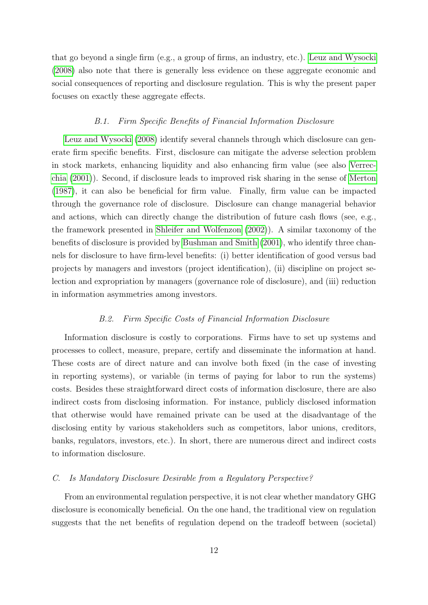that go beyond a single firm (e.g., a group of firms, an industry, etc.). [Leuz and Wysocki](#page-29-4) [\(2008\)](#page-29-4) also note that there is generally less evidence on these aggregate economic and social consequences of reporting and disclosure regulation. This is why the present paper focuses on exactly these aggregate effects.

# B.1. Firm Specific Benefits of Financial Information Disclosure

[Leuz and Wysocki](#page-29-4) [\(2008\)](#page-29-4) identify several channels through which disclosure can generate firm specific benefits. First, disclosure can mitigate the adverse selection problem in stock markets, enhancing liquidity and also enhancing firm value (see also [Verrec](#page-30-1)[chia](#page-30-1) [\(2001\)](#page-30-1)). Second, if disclosure leads to improved risk sharing in the sense of [Merton](#page-29-11) [\(1987\)](#page-29-11), it can also be beneficial for firm value. Finally, firm value can be impacted through the governance role of disclosure. Disclosure can change managerial behavior and actions, which can directly change the distribution of future cash flows (see, e.g., the framework presented in [Shleifer and Wolfenzon](#page-30-2) [\(2002\)](#page-30-2)). A similar taxonomy of the benefits of disclosure is provided by [Bushman and Smith](#page-28-9) [\(2001\)](#page-28-9), who identify three channels for disclosure to have firm-level benefits: (i) better identification of good versus bad projects by managers and investors (project identification), (ii) discipline on project selection and expropriation by managers (governance role of disclosure), and (iii) reduction in information asymmetries among investors.

# B.2. Firm Specific Costs of Financial Information Disclosure

Information disclosure is costly to corporations. Firms have to set up systems and processes to collect, measure, prepare, certify and disseminate the information at hand. These costs are of direct nature and can involve both fixed (in the case of investing in reporting systems), or variable (in terms of paying for labor to run the systems) costs. Besides these straightforward direct costs of information disclosure, there are also indirect costs from disclosing information. For instance, publicly disclosed information that otherwise would have remained private can be used at the disadvantage of the disclosing entity by various stakeholders such as competitors, labor unions, creditors, banks, regulators, investors, etc.). In short, there are numerous direct and indirect costs to information disclosure.

# C. Is Mandatory Disclosure Desirable from a Regulatory Perspective?

From an environmental regulation perspective, it is not clear whether mandatory GHG disclosure is economically beneficial. On the one hand, the traditional view on regulation suggests that the net benefits of regulation depend on the tradeoff between (societal)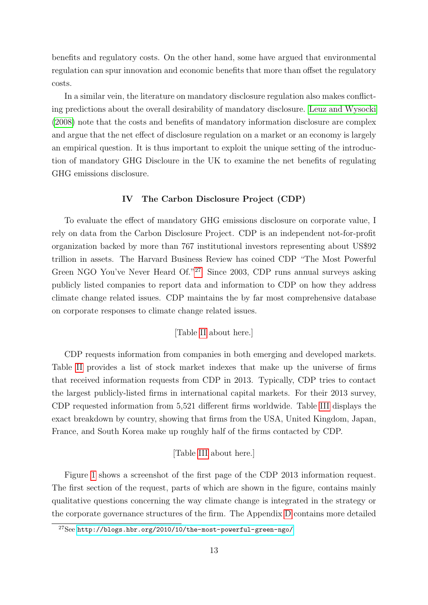benefits and regulatory costs. On the other hand, some have argued that environmental regulation can spur innovation and economic benefits that more than offset the regulatory costs.

In a similar vein, the literature on mandatory disclosure regulation also makes conflicting predictions about the overall desirability of mandatory disclosure. [Leuz and Wysocki](#page-29-4) [\(2008\)](#page-29-4) note that the costs and benefits of mandatory information disclosure are complex and argue that the net effect of disclosure regulation on a market or an economy is largely an empirical question. It is thus important to exploit the unique setting of the introduction of mandatory GHG Discloure in the UK to examine the net benefits of regulating GHG emissions disclosure.

# IV The Carbon Disclosure Project (CDP)

<span id="page-13-0"></span>To evaluate the effect of mandatory GHG emissions disclosure on corporate value, I rely on data from the Carbon Disclosure Project. CDP is an independent not-for-profit organization backed by more than 767 institutional investors representing about US\$92 trillion in assets. The Harvard Business Review has coined CDP "The Most Powerful Green NGO You've Never Heard Of."[27](#page-13-1) Since 2003, CDP runs annual surveys asking publicly listed companies to report data and information to CDP on how they address climate change related issues. CDP maintains the by far most comprehensive database on corporate responses to climate change related issues.

# [Table [II](#page-36-0) about here.]

CDP requests information from companies in both emerging and developed markets. Table [II](#page-36-0) provides a list of stock market indexes that make up the universe of firms that received information requests from CDP in 2013. Typically, CDP tries to contact the largest publicly-listed firms in international capital markets. For their 2013 survey, CDP requested information from 5,521 different firms worldwide. Table [III](#page-37-0) displays the exact breakdown by country, showing that firms from the USA, United Kingdom, Japan, France, and South Korea make up roughly half of the firms contacted by CDP.

# [Table [III](#page-37-0) about here.]

Figure [1](#page-31-0) shows a screenshot of the first page of the CDP 2013 information request. The first section of the request, parts of which are shown in the figure, contains mainly qualitative questions concerning the way climate change is integrated in the strategy or the corporate governance structures of the firm. The Appendix [D](#page-51-0) contains more detailed

<span id="page-13-1"></span><sup>27</sup>See <http://blogs.hbr.org/2010/10/the-most-powerful-green-ngo/>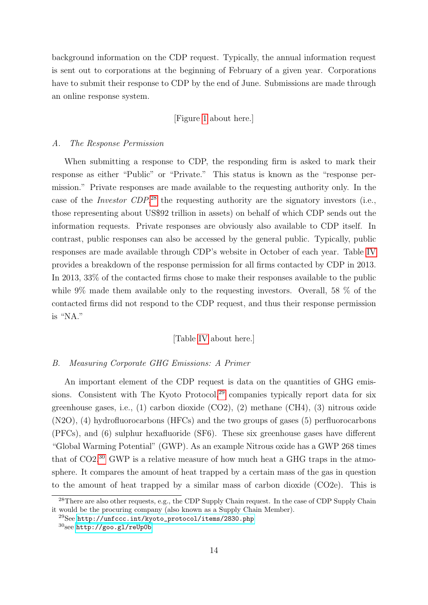background information on the CDP request. Typically, the annual information request is sent out to corporations at the beginning of February of a given year. Corporations have to submit their response to CDP by the end of June. Submissions are made through an online response system.

[Figure [1](#page-31-0) about here.]

### A. The Response Permission

When submitting a response to CDP, the responding firm is asked to mark their response as either "Public" or "Private." This status is known as the "response permission." Private responses are made available to the requesting authority only. In the case of the *Investor CDP*,<sup>[28](#page-14-0)</sup> the requesting authority are the signatory investors (i.e., those representing about US\$92 trillion in assets) on behalf of which CDP sends out the information requests. Private responses are obviously also available to CDP itself. In contrast, public responses can also be accessed by the general public. Typically, public responses are made available through CDP's website in October of each year. Table [IV](#page-38-0) provides a breakdown of the response permission for all firms contacted by CDP in 2013. In 2013, 33% of the contacted firms chose to make their responses available to the public while 9% made them available only to the requesting investors. Overall, 58 % of the contacted firms did not respond to the CDP request, and thus their response permission is "NA."

# [Table [IV](#page-38-0) about here.]

# B. Measuring Corporate GHG Emissions: A Primer

An important element of the CDP request is data on the quantities of GHG emissions. Consistent with The Kyoto Protocol, $29$  companies typically report data for six greenhouse gases, i.e., (1) carbon dioxide (CO2), (2) methane (CH4), (3) nitrous oxide (N2O), (4) hydrofluorocarbons (HFCs) and the two groups of gases (5) perfluorocarbons (PFCs), and (6) sulphur hexafluoride (SF6). These six greenhouse gases have different "Global Warming Potential" (GWP). As an example Nitrous oxide has a GWP 268 times that of  $CO2<sup>30</sup>$  $CO2<sup>30</sup>$  $CO2<sup>30</sup>$  GWP is a relative measure of how much heat a GHG traps in the atmosphere. It compares the amount of heat trapped by a certain mass of the gas in question to the amount of heat trapped by a similar mass of carbon dioxide (CO2e). This is

<span id="page-14-0"></span><sup>&</sup>lt;sup>28</sup>There are also other requests, e.g., the CDP Supply Chain request. In the case of CDP Supply Chain it would be the procuring company (also known as a Supply Chain Member).

<span id="page-14-1"></span><sup>29</sup>See [http://unfccc.int/kyoto\\_protocol/items/2830.php](http://unfccc.int/kyoto_protocol/items/2830.php)

<span id="page-14-2"></span><sup>30</sup>see <http://goo.gl/reUp0b>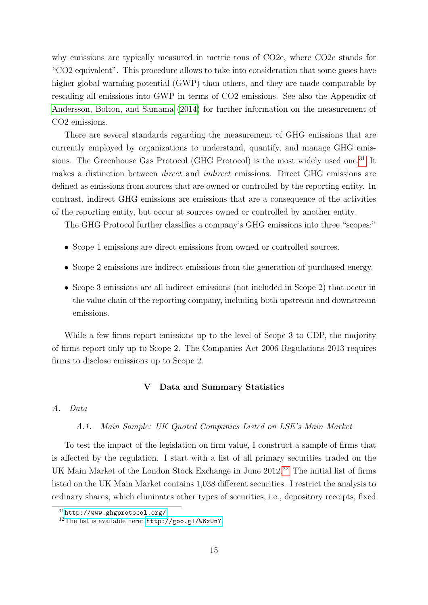why emissions are typically measured in metric tons of CO2e, where CO2e stands for "CO2 equivalent". This procedure allows to take into consideration that some gases have higher global warming potential (GWP) than others, and they are made comparable by rescaling all emissions into GWP in terms of CO2 emissions. See also the Appendix of [Andersson, Bolton, and Samama](#page-28-0) [\(2014\)](#page-28-0) for further information on the measurement of CO2 emissions.

There are several standards regarding the measurement of GHG emissions that are currently employed by organizations to understand, quantify, and manage GHG emis-sions. The Greenhouse Gas Protocol (GHG Protocol) is the most widely used one.<sup>[31](#page-15-1)</sup> It makes a distinction between direct and indirect emissions. Direct GHG emissions are defined as emissions from sources that are owned or controlled by the reporting entity. In contrast, indirect GHG emissions are emissions that are a consequence of the activities of the reporting entity, but occur at sources owned or controlled by another entity.

The GHG Protocol further classifies a company's GHG emissions into three "scopes:"

- Scope 1 emissions are direct emissions from owned or controlled sources.
- Scope 2 emissions are indirect emissions from the generation of purchased energy.
- Scope 3 emissions are all indirect emissions (not included in Scope 2) that occur in the value chain of the reporting company, including both upstream and downstream emissions.

<span id="page-15-0"></span>While a few firms report emissions up to the level of Scope 3 to CDP, the majority of firms report only up to Scope 2. The Companies Act 2006 Regulations 2013 requires firms to disclose emissions up to Scope 2.

# V Data and Summary Statistics

# A. Data

# A.1. Main Sample: UK Quoted Companies Listed on LSE's Main Market

To test the impact of the legislation on firm value, I construct a sample of firms that is affected by the regulation. I start with a list of all primary securities traded on the UK Main Market of the London Stock Exchange in June 2012.[32](#page-15-2) The initial list of firms listed on the UK Main Market contains 1,038 different securities. I restrict the analysis to ordinary shares, which eliminates other types of securities, i.e., depository receipts, fixed

<span id="page-15-1"></span><sup>31</sup><http://www.ghgprotocol.org/>

<span id="page-15-2"></span><sup>32</sup>The list is available here: <http://goo.gl/W6xUnY>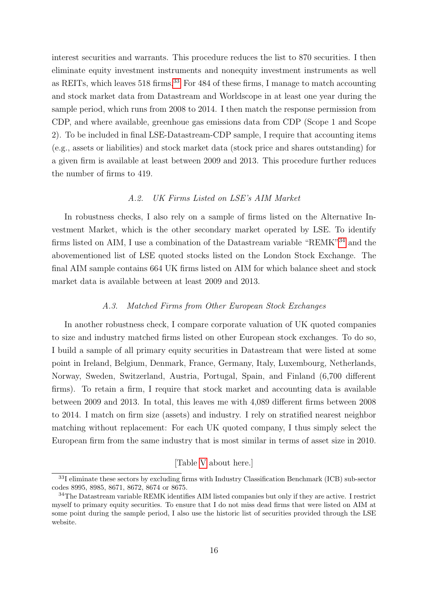interest securities and warrants. This procedure reduces the list to 870 securities. I then eliminate equity investment instruments and nonequity investment instruments as well as REITs, which leaves 518 firms.<sup>[33](#page-16-0)</sup> For 484 of these firms, I manage to match accounting and stock market data from Datastream and Worldscope in at least one year during the sample period, which runs from 2008 to 2014. I then match the response permission from CDP, and where available, greenhoue gas emissions data from CDP (Scope 1 and Scope 2). To be included in final LSE-Datastream-CDP sample, I require that accounting items (e.g., assets or liabilities) and stock market data (stock price and shares outstanding) for a given firm is available at least between 2009 and 2013. This procedure further reduces the number of firms to 419.

# A.2. UK Firms Listed on LSE's AIM Market

In robustness checks, I also rely on a sample of firms listed on the Alternative Investment Market, which is the other secondary market operated by LSE. To identify firms listed on AIM, I use a combination of the Datastream variable "REMK"[34](#page-16-1) and the abovementioned list of LSE quoted stocks listed on the London Stock Exchange. The final AIM sample contains 664 UK firms listed on AIM for which balance sheet and stock market data is available between at least 2009 and 2013.

# A.3. Matched Firms from Other European Stock Exchanges

In another robustness check, I compare corporate valuation of UK quoted companies to size and industry matched firms listed on other European stock exchanges. To do so, I build a sample of all primary equity securities in Datastream that were listed at some point in Ireland, Belgium, Denmark, France, Germany, Italy, Luxembourg, Netherlands, Norway, Sweden, Switzerland, Austria, Portugal, Spain, and Finland (6,700 different firms). To retain a firm, I require that stock market and accounting data is available between 2009 and 2013. In total, this leaves me with 4,089 different firms between 2008 to 2014. I match on firm size (assets) and industry. I rely on stratified nearest neighbor matching without replacement: For each UK quoted company, I thus simply select the European firm from the same industry that is most similar in terms of asset size in 2010.

# [Table [V](#page-39-0) about here.]

<span id="page-16-0"></span><sup>33</sup>I eliminate these sectors by excluding firms with Industry Classification Benchmark (ICB) sub-sector codes 8995, 8985, 8671, 8672, 8674 or 8675.

<span id="page-16-1"></span><sup>&</sup>lt;sup>34</sup>The Datastream variable REMK identifies AIM listed companies but only if they are active. I restrict myself to primary equity securities. To ensure that I do not miss dead firms that were listed on AIM at some point during the sample period, I also use the historic list of securities provided through the LSE website.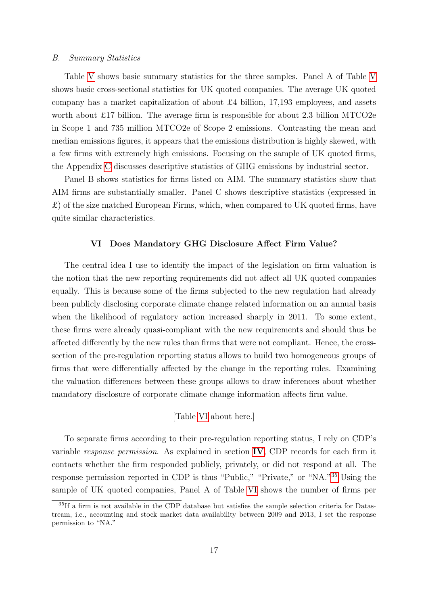### B. Summary Statistics

Table [V](#page-39-0) shows basic summary statistics for the three samples. Panel A of Table [V](#page-39-0) shows basic cross-sectional statistics for UK quoted companies. The average UK quoted company has a market capitalization of about £4 billion, 17,193 employees, and assets worth about £17 billion. The average firm is responsible for about 2.3 billion MTCO2e in Scope 1 and 735 million MTCO2e of Scope 2 emissions. Contrasting the mean and median emissions figures, it appears that the emissions distribution is highly skewed, with a few firms with extremely high emissions. Focusing on the sample of UK quoted firms, the Appendix [C](#page-46-0) discusses descriptive statistics of GHG emissions by industrial sector.

Panel B shows statistics for firms listed on AIM. The summary statistics show that AIM firms are substantially smaller. Panel C shows descriptive statistics (expressed in  $\pounds$ ) of the size matched European Firms, which, when compared to UK quoted firms, have quite similar characteristics.

#### VI Does Mandatory GHG Disclosure Affect Firm Value?

<span id="page-17-0"></span>The central idea I use to identify the impact of the legislation on firm valuation is the notion that the new reporting requirements did not affect all UK quoted companies equally. This is because some of the firms subjected to the new regulation had already been publicly disclosing corporate climate change related information on an annual basis when the likelihood of regulatory action increased sharply in 2011. To some extent, these firms were already quasi-compliant with the new requirements and should thus be affected differently by the new rules than firms that were not compliant. Hence, the crosssection of the pre-regulation reporting status allows to build two homogeneous groups of firms that were differentially affected by the change in the reporting rules. Examining the valuation differences between these groups allows to draw inferences about whether mandatory disclosure of corporate climate change information affects firm value.

[Table [VI](#page-40-0) about here.]

To separate firms according to their pre-regulation reporting status, I rely on CDP's variable *response permission*. As explained in section  $IV$ , CDP records for each firm it contacts whether the firm responded publicly, privately, or did not respond at all. The response permission reported in CDP is thus "Public," "Private," or "NA."[35](#page-17-1) Using the sample of UK quoted companies, Panel A of Table [VI](#page-40-0) shows the number of firms per

<span id="page-17-1"></span><sup>&</sup>lt;sup>35</sup>If a firm is not available in the CDP database but satisfies the sample selection criteria for Datastream, i.e., accounting and stock market data availability between 2009 and 2013, I set the response permission to "NA."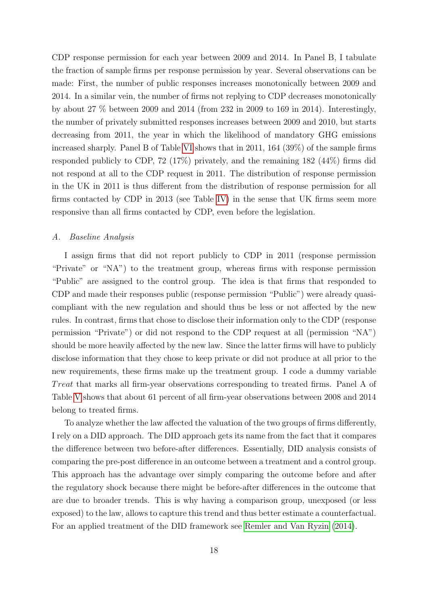CDP response permission for each year between 2009 and 2014. In Panel B, I tabulate the fraction of sample firms per response permission by year. Several observations can be made: First, the number of public responses increases monotonically between 2009 and 2014. In a similar vein, the number of firms not replying to CDP decreases monotonically by about 27 % between 2009 and 2014 (from 232 in 2009 to 169 in 2014). Interestingly, the number of privately submitted responses increases between 2009 and 2010, but starts decreasing from 2011, the year in which the likelihood of mandatory GHG emissions increased sharply. Panel B of Table [VI](#page-40-0) shows that in 2011, 164 (39%) of the sample firms responded publicly to CDP, 72 (17%) privately, and the remaining 182 (44%) firms did not respond at all to the CDP request in 2011. The distribution of response permission in the UK in 2011 is thus different from the distribution of response permission for all firms contacted by CDP in 2013 (see Table [IV\)](#page-38-0) in the sense that UK firms seem more responsive than all firms contacted by CDP, even before the legislation.

# A. Baseline Analysis

I assign firms that did not report publicly to CDP in 2011 (response permission "Private" or "NA") to the treatment group, whereas firms with response permission "Public" are assigned to the control group. The idea is that firms that responded to CDP and made their responses public (response permission "Public") were already quasicompliant with the new regulation and should thus be less or not affected by the new rules. In contrast, firms that chose to disclose their information only to the CDP (response permission "Private") or did not respond to the CDP request at all (permission "NA") should be more heavily affected by the new law. Since the latter firms will have to publicly disclose information that they chose to keep private or did not produce at all prior to the new requirements, these firms make up the treatment group. I code a dummy variable Treat that marks all firm-year observations corresponding to treated firms. Panel A of Table [V](#page-39-0) shows that about 61 percent of all firm-year observations between 2008 and 2014 belong to treated firms.

To analyze whether the law affected the valuation of the two groups of firms differently, I rely on a DID approach. The DID approach gets its name from the fact that it compares the difference between two before-after differences. Essentially, DID analysis consists of comparing the pre-post difference in an outcome between a treatment and a control group. This approach has the advantage over simply comparing the outcome before and after the regulatory shock because there might be before-after differences in the outcome that are due to broader trends. This is why having a comparison group, unexposed (or less exposed) to the law, allows to capture this trend and thus better estimate a counterfactual. For an applied treatment of the DID framework see [Remler and Van Ryzin](#page-30-3) [\(2014\)](#page-30-3).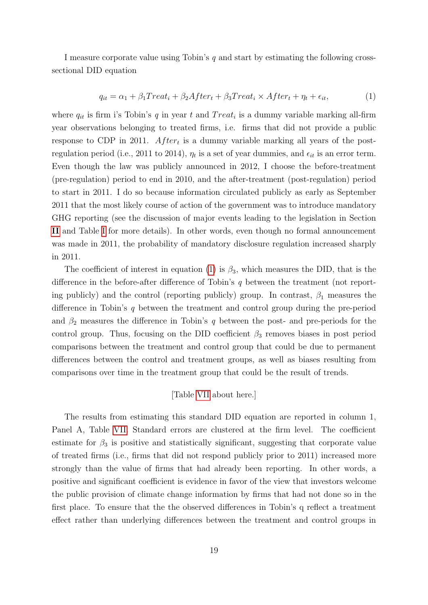I measure corporate value using Tobin's  $q$  and start by estimating the following crosssectional DID equation

<span id="page-19-0"></span>
$$
q_{it} = \alpha_1 + \beta_1 Treat_i + \beta_2 After_t + \beta_3 Treat_i \times After_t + \eta_t + \epsilon_{it},
$$
\n(1)

where  $q_{it}$  is firm i's Tobin's q in year t and  $Treat_i$  is a dummy variable marking all-firm year observations belonging to treated firms, i.e. firms that did not provide a public response to CDP in 2011.  $After<sub>t</sub>$  is a dummy variable marking all years of the postregulation period (i.e., 2011 to 2014),  $\eta_t$  is a set of year dummies, and  $\epsilon_{it}$  is an error term. Even though the law was publicly announced in 2012, I choose the before-treatment (pre-regulation) period to end in 2010, and the after-treatment (post-regulation) period to start in 2011. I do so because information circulated publicly as early as September 2011 that the most likely course of action of the government was to introduce mandatory GHG reporting (see the discussion of major events leading to the legislation in Section [II](#page-5-0) and Table [I](#page-33-0) for more details). In other words, even though no formal announcement was made in 2011, the probability of mandatory disclosure regulation increased sharply in 2011.

The coefficient of interest in equation [\(1\)](#page-19-0) is  $\beta_3$ , which measures the DID, that is the difference in the before-after difference of Tobin's q between the treatment (not reporting publicly) and the control (reporting publicly) group. In contrast,  $\beta_1$  measures the difference in Tobin's q between the treatment and control group during the pre-period and  $\beta_2$  measures the difference in Tobin's q between the post- and pre-periods for the control group. Thus, focusing on the DID coefficient  $\beta_3$  removes biases in post period comparisons between the treatment and control group that could be due to permanent differences between the control and treatment groups, as well as biases resulting from comparisons over time in the treatment group that could be the result of trends.

# [Table [VII](#page-41-0) about here.]

The results from estimating this standard DID equation are reported in column 1, Panel A, Table [VII.](#page-41-0) Standard errors are clustered at the firm level. The coefficient estimate for  $\beta_3$  is positive and statistically significant, suggesting that corporate value of treated firms (i.e., firms that did not respond publicly prior to 2011) increased more strongly than the value of firms that had already been reporting. In other words, a positive and significant coefficient is evidence in favor of the view that investors welcome the public provision of climate change information by firms that had not done so in the first place. To ensure that the the observed differences in Tobin's q reflect a treatment effect rather than underlying differences between the treatment and control groups in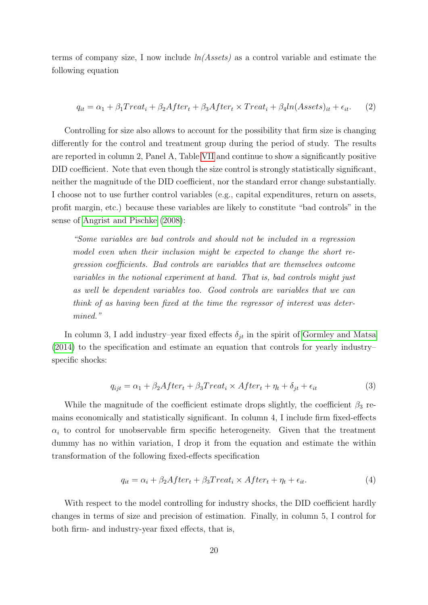terms of company size, I now include  $ln(A \text{ssets})$  as a control variable and estimate the following equation

$$
q_{it} = \alpha_1 + \beta_1 Treat_i + \beta_2 After_t + \beta_3 After_t \times Treat_i + \beta_4 ln (Assets)_{it} + \epsilon_{it}.
$$
 (2)

Controlling for size also allows to account for the possibility that firm size is changing differently for the control and treatment group during the period of study. The results are reported in column 2, Panel A, Table [VII](#page-41-0) and continue to show a significantly positive DID coefficient. Note that even though the size control is strongly statistically significant, neither the magnitude of the DID coefficient, nor the standard error change substantially. I choose not to use further control variables (e.g., capital expenditures, return on assets, profit margin, etc.) because these variables are likely to constitute "bad controls" in the sense of [Angrist and Pischke](#page-28-10) [\(2008\)](#page-28-10):

"Some variables are bad controls and should not be included in a regression model even when their inclusion might be expected to change the short regression coefficients. Bad controls are variables that are themselves outcome variables in the notional experiment at hand. That is, bad controls might just as well be dependent variables too. Good controls are variables that we can think of as having been fixed at the time the regressor of interest was determined."

In column 3, I add industry–year fixed effects  $\delta_{it}$  in the spirit of [Gormley and Matsa](#page-29-12) [\(2014\)](#page-29-12) to the specification and estimate an equation that controls for yearly industry– specific shocks:

$$
q_{ijt} = \alpha_1 + \beta_2 After_t + \beta_3 Treat_t \times After_t + \eta_t + \delta_{jt} + \epsilon_{it}
$$
\n(3)

While the magnitude of the coefficient estimate drops slightly, the coefficient  $\beta_3$  remains economically and statistically significant. In column 4, I include firm fixed-effects  $\alpha_i$  to control for unobservable firm specific heterogeneity. Given that the treatment dummy has no within variation, I drop it from the equation and estimate the within transformation of the following fixed-effects specification

$$
q_{it} = \alpha_i + \beta_2 After_t + \beta_3 Treat_i \times After_t + \eta_t + \epsilon_{it}. \tag{4}
$$

With respect to the model controlling for industry shocks, the DID coefficient hardly changes in terms of size and precision of estimation. Finally, in column 5, I control for both firm- and industry-year fixed effects, that is,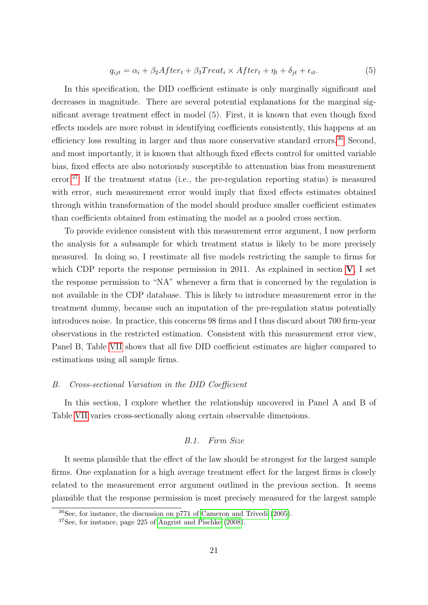$$
q_{ijt} = \alpha_i + \beta_2 After_t + \beta_3 Treat_i \times After_t + \eta_t + \delta_{jt} + \epsilon_{it}.
$$
\n
$$
(5)
$$

In this specification, the DID coefficient estimate is only marginally significant and decreases in magnitude. There are several potential explanations for the marginal significant average treatment effect in model (5). First, it is known that even though fixed effects models are more robust in identifying coefficients consistently, this happens at an efficiency loss resulting in larger and thus more conservative standard errors.<sup>[36](#page-21-0)</sup> Second, and most importantly, it is known that although fixed effects control for omitted variable bias, fixed effects are also notoriously susceptible to attenuation bias from measurement error.[37](#page-21-1) If the treatment status (i.e., the pre-regulation reporting status) is measured with error, such measurement error would imply that fixed effects estimates obtained through within transformation of the model should produce smaller coefficient estimates than coefficients obtained from estimating the model as a pooled cross section.

To provide evidence consistent with this measurement error argument, I now perform the analysis for a subsample for which treatment status is likely to be more precisely measured. In doing so, I reestimate all five models restricting the sample to firms for which CDP reports the response permission in 2011. As explained in section  $V$ , I set the response permission to "NA" whenever a firm that is concerned by the regulation is not available in the CDP database. This is likely to introduce measurement error in the treatment dummy, because such an imputation of the pre-regulation status potentially introduces noise. In practice, this concerns 98 firms and I thus discard about 700 firm-year observations in the restricted estimation. Consistent with this measurement error view, Panel B, Table [VII](#page-41-0) shows that all five DID coefficient estimates are higher compared to estimations using all sample firms.

# B. Cross-sectional Variation in the DID Coefficient

In this section, I explore whether the relationship uncovered in Panel A and B of Table [VII](#page-41-0) varies cross-sectionally along certain observable dimensions.

# B.1. Firm Size

It seems plausible that the effect of the law should be strongest for the largest sample firms. One explanation for a high average treatment effect for the largest firms is closely related to the measurement error argument outlined in the previous section. It seems plausible that the response permission is most precisely measured for the largest sample

<span id="page-21-0"></span><sup>36</sup>See, for instance, the discussion on p771 of [Cameron and Trivedi](#page-28-11) [\(2005\)](#page-28-11).

<span id="page-21-1"></span><sup>37</sup>See, for instance, page 225 of [Angrist and Pischke](#page-28-10) [\(2008\)](#page-28-10).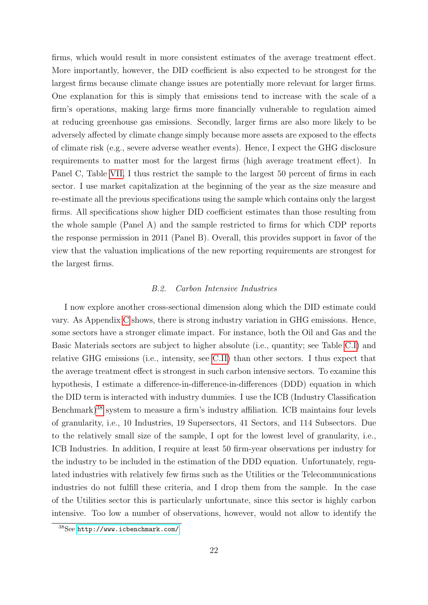firms, which would result in more consistent estimates of the average treatment effect. More importantly, however, the DID coefficient is also expected to be strongest for the largest firms because climate change issues are potentially more relevant for larger firms. One explanation for this is simply that emissions tend to increase with the scale of a firm's operations, making large firms more financially vulnerable to regulation aimed at reducing greenhouse gas emissions. Secondly, larger firms are also more likely to be adversely affected by climate change simply because more assets are exposed to the effects of climate risk (e.g., severe adverse weather events). Hence, I expect the GHG disclosure requirements to matter most for the largest firms (high average treatment effect). In Panel C, Table [VII,](#page-41-0) I thus restrict the sample to the largest 50 percent of firms in each sector. I use market capitalization at the beginning of the year as the size measure and re-estimate all the previous specifications using the sample which contains only the largest firms. All specifications show higher DID coefficient estimates than those resulting from the whole sample (Panel A) and the sample restricted to firms for which CDP reports the response permission in 2011 (Panel B). Overall, this provides support in favor of the view that the valuation implications of the new reporting requirements are strongest for the largest firms.

#### B.2. Carbon Intensive Industries

I now explore another cross-sectional dimension along which the DID estimate could vary. As Appendix [C](#page-46-0) shows, there is strong industry variation in GHG emissions. Hence, some sectors have a stronger climate impact. For instance, both the Oil and Gas and the Basic Materials sectors are subject to higher absolute (i.e., quantity; see Table [C.I\)](#page-49-0) and relative GHG emissions (i.e., intensity, see [C.II\)](#page-50-0) than other sectors. I thus expect that the average treatment effect is strongest in such carbon intensive sectors. To examine this hypothesis, I estimate a difference-in-difference-in-differences (DDD) equation in which the DID term is interacted with industry dummies. I use the ICB (Industry Classification Benchmark)[38](#page-22-0) system to measure a firm's industry affiliation. ICB maintains four levels of granularity, i.e., 10 Industries, 19 Supersectors, 41 Sectors, and 114 Subsectors. Due to the relatively small size of the sample, I opt for the lowest level of granularity, i.e., ICB Industries. In addition, I require at least 50 firm-year observations per industry for the industry to be included in the estimation of the DDD equation. Unfortunately, regulated industries with relatively few firms such as the Utilities or the Telecommunications industries do not fulfill these criteria, and I drop them from the sample. In the case of the Utilities sector this is particularly unfortunate, since this sector is highly carbon intensive. Too low a number of observations, however, would not allow to identify the

<span id="page-22-0"></span><sup>38</sup>See <http://www.icbenchmark.com/>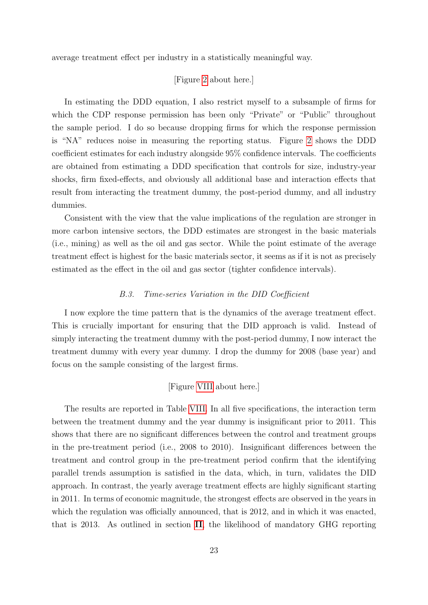average treatment effect per industry in a statistically meaningful way.

# [Figure [2](#page-32-0) about here.]

In estimating the DDD equation, I also restrict myself to a subsample of firms for which the CDP response permission has been only "Private" or "Public" throughout the sample period. I do so because dropping firms for which the response permission is "NA" reduces noise in measuring the reporting status. Figure [2](#page-32-0) shows the DDD coefficient estimates for each industry alongside 95% confidence intervals. The coefficients are obtained from estimating a DDD specification that controls for size, industry-year shocks, firm fixed-effects, and obviously all additional base and interaction effects that result from interacting the treatment dummy, the post-period dummy, and all industry dummies.

Consistent with the view that the value implications of the regulation are stronger in more carbon intensive sectors, the DDD estimates are strongest in the basic materials (i.e., mining) as well as the oil and gas sector. While the point estimate of the average treatment effect is highest for the basic materials sector, it seems as if it is not as precisely estimated as the effect in the oil and gas sector (tighter confidence intervals).

# B.3. Time-series Variation in the DID Coefficient

I now explore the time pattern that is the dynamics of the average treatment effect. This is crucially important for ensuring that the DID approach is valid. Instead of simply interacting the treatment dummy with the post-period dummy, I now interact the treatment dummy with every year dummy. I drop the dummy for 2008 (base year) and focus on the sample consisting of the largest firms.

# [Figure [VIII](#page-42-0) about here.]

The results are reported in Table [VIII.](#page-42-0) In all five specifications, the interaction term between the treatment dummy and the year dummy is insignificant prior to 2011. This shows that there are no significant differences between the control and treatment groups in the pre-treatment period (i.e., 2008 to 2010). Insignificant differences between the treatment and control group in the pre-treatment period confirm that the identifying parallel trends assumption is satisfied in the data, which, in turn, validates the DID approach. In contrast, the yearly average treatment effects are highly significant starting in 2011. In terms of economic magnitude, the strongest effects are observed in the years in which the regulation was officially announced, that is 2012, and in which it was enacted, that is 2013. As outlined in section [II](#page-5-0), the likelihood of mandatory GHG reporting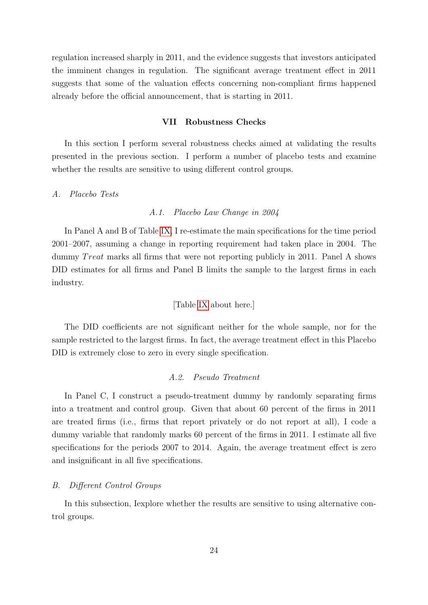regulation increased sharply in 2011, and the evidence suggests that investors anticipated the imminent changes in regulation. The significant average treatment effect in 2011 suggests that some of the valuation effects concerning non-compliant firms happened already before the official announcement, that is starting in 2011.

# VII Robustness Checks

<span id="page-24-0"></span>In this section I perform several robustness checks aimed at validating the results presented in the previous section. I perform a number of placebo tests and examine whether the results are sensitive to using different control groups.

# A. Placebo Tests

# A.1. Placebo Law Change in 2004

In Panel A and B of Table [IX,](#page-43-0) I re-estimate the main specifications for the time period 2001–2007, assuming a change in reporting requirement had taken place in 2004. The dummy *Treat* marks all firms that were not reporting publicly in 2011. Panel A shows DID estimates for all firms and Panel B limits the sample to the largest firms in each industry.

# [Table [IX](#page-43-0) about here.]

The DID coefficients are not significant neither for the whole sample, nor for the sample restricted to the largest firms. In fact, the average treatment effect in this Placebo DID is extremely close to zero in every single specification.

# A.2. Pseudo Treatment

In Panel C, I construct a pseudo-treatment dummy by randomly separating firms into a treatment and control group. Given that about 60 percent of the firms in 2011 are treated firms (i.e., firms that report privately or do not report at all), I code a dummy variable that randomly marks 60 percent of the firms in 2011. I estimate all five specifications for the periods 2007 to 2014. Again, the average treatment effect is zero and insignificant in all five specifications.

# B. Different Control Groups

In this subsection, Iexplore whether the results are sensitive to using alternative control groups.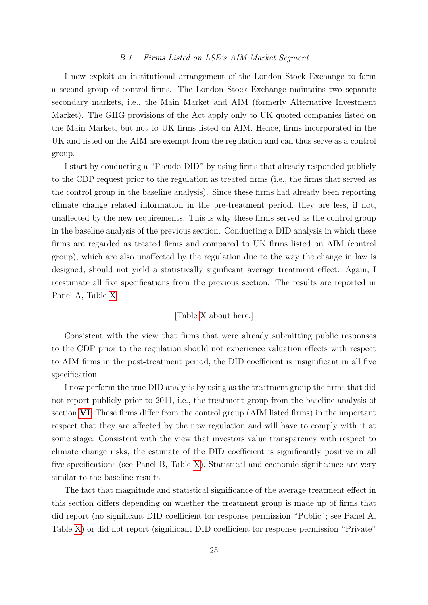# B.1. Firms Listed on LSE's AIM Market Segment

I now exploit an institutional arrangement of the London Stock Exchange to form a second group of control firms. The London Stock Exchange maintains two separate secondary markets, i.e., the Main Market and AIM (formerly Alternative Investment Market). The GHG provisions of the Act apply only to UK quoted companies listed on the Main Market, but not to UK firms listed on AIM. Hence, firms incorporated in the UK and listed on the AIM are exempt from the regulation and can thus serve as a control group.

I start by conducting a "Pseudo-DID" by using firms that already responded publicly to the CDP request prior to the regulation as treated firms (i.e., the firms that served as the control group in the baseline analysis). Since these firms had already been reporting climate change related information in the pre-treatment period, they are less, if not, unaffected by the new requirements. This is why these firms served as the control group in the baseline analysis of the previous section. Conducting a DID analysis in which these firms are regarded as treated firms and compared to UK firms listed on AIM (control group), which are also unaffected by the regulation due to the way the change in law is designed, should not yield a statistically significant average treatment effect. Again, I reestimate all five specifications from the previous section. The results are reported in Panel A, Table [X.](#page-44-0)

# [Table [X](#page-44-0) about here.]

Consistent with the view that firms that were already submitting public responses to the CDP prior to the regulation should not experience valuation effects with respect to AIM firms in the post-treatment period, the DID coefficient is insignificant in all five specification.

I now perform the true DID analysis by using as the treatment group the firms that did not report publicly prior to 2011, i.e., the treatment group from the baseline analysis of section [VI](#page-17-0). These firms differ from the control group (AIM listed firms) in the important respect that they are affected by the new regulation and will have to comply with it at some stage. Consistent with the view that investors value transparency with respect to climate change risks, the estimate of the DID coefficient is significantly positive in all five specifications (see Panel B, Table [X\)](#page-44-0). Statistical and economic significance are very similar to the baseline results.

The fact that magnitude and statistical significance of the average treatment effect in this section differs depending on whether the treatment group is made up of firms that did report (no significant DID coefficient for response permission "Public"; see Panel A, Table [X\)](#page-44-0) or did not report (significant DID coefficient for response permission "Private"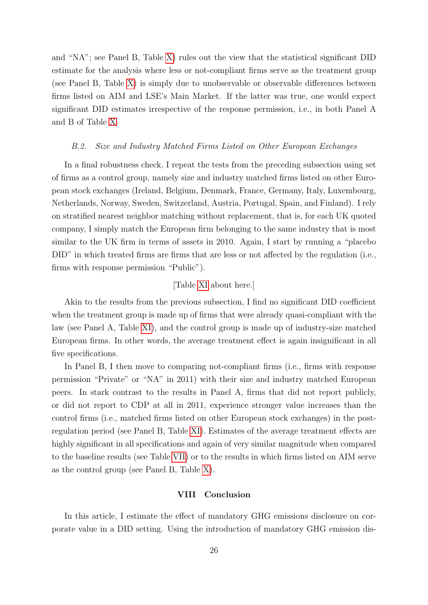and "NA"; see Panel B, Table [X\)](#page-44-0) rules out the view that the statistical significant DID estimate for the analysis where less or not-compliant firms serve as the treatment group (see Panel B, Table [X\)](#page-44-0) is simply due to unobservable or observable differences between firms listed on AIM and LSE's Main Market. If the latter was true, one would expect significant DID estimates irrespective of the response permission, i.e., in both Panel A and B of Table [X.](#page-44-0)

### B.2. Size and Industry Matched Firms Listed on Other European Exchanges

In a final robustness check, I repeat the tests from the preceding subsection using set of firms as a control group, namely size and industry matched firms listed on other European stock exchanges (Ireland, Belgium, Denmark, France, Germany, Italy, Luxembourg, Netherlands, Norway, Sweden, Switzerland, Austria, Portugal, Spain, and Finland). I rely on stratified nearest neighbor matching without replacement, that is, for each UK quoted company, I simply match the European firm belonging to the same industry that is most similar to the UK firm in terms of assets in 2010. Again, I start by running a "placebo DID" in which treated firms are firms that are less or not affected by the regulation (i.e., firms with response permission "Public").

# [Table [XI](#page-45-0) about here.]

Akin to the results from the previous subsection, I find no significant DID coefficient when the treatment group is made up of firms that were already quasi-compliant with the law (see Panel A, Table [XI\)](#page-45-0), and the control group is made up of industry-size matched European firms. In other words, the average treatment effect is again insignificant in all five specifications.

In Panel B, I then move to comparing not-compliant firms (i.e., firms with response permission "Private" or "NA" in 2011) with their size and industry matched European peers. In stark contrast to the results in Panel A, firms that did not report publicly, or did not report to CDP at all in 2011, experience stronger value increases than the control firms (i.e., matched firms listed on other European stock exchanges) in the postregulation period (see Panel B, Table [XI\)](#page-45-0). Estimates of the average treatment effects are highly significant in all specifications and again of very similar magnitude when compared to the baseline results (see Table [VII\)](#page-41-0) or to the results in which firms listed on AIM serve as the control group (see Panel B, Table [X\)](#page-44-0).

# VIII Conclusion

<span id="page-26-0"></span>In this article, I estimate the effect of mandatory GHG emissions disclosure on corporate value in a DID setting. Using the introduction of mandatory GHG emission dis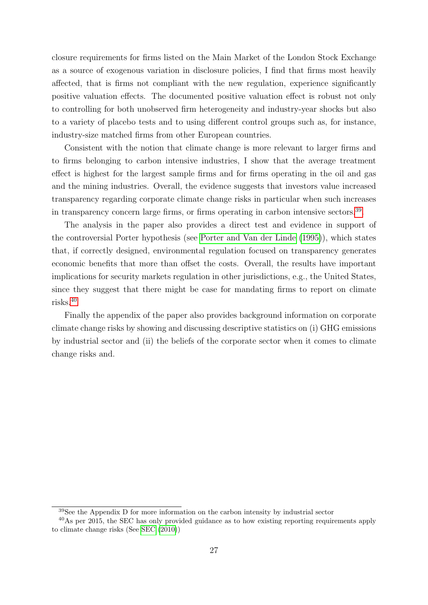closure requirements for firms listed on the Main Market of the London Stock Exchange as a source of exogenous variation in disclosure policies, I find that firms most heavily affected, that is firms not compliant with the new regulation, experience significantly positive valuation effects. The documented positive valuation effect is robust not only to controlling for both unobserved firm heterogeneity and industry-year shocks but also to a variety of placebo tests and to using different control groups such as, for instance, industry-size matched firms from other European countries.

Consistent with the notion that climate change is more relevant to larger firms and to firms belonging to carbon intensive industries, I show that the average treatment effect is highest for the largest sample firms and for firms operating in the oil and gas and the mining industries. Overall, the evidence suggests that investors value increased transparency regarding corporate climate change risks in particular when such increases in transparency concern large firms, or firms operating in carbon intensive sectors.<sup>[39](#page-27-0)</sup>.

The analysis in the paper also provides a direct test and evidence in support of the controversial Porter hypothesis (see [Porter and Van der Linde](#page-29-7) [\(1995\)](#page-29-7)), which states that, if correctly designed, environmental regulation focused on transparency generates economic benefits that more than offset the costs. Overall, the results have important implications for security markets regulation in other jurisdictions, e.g., the United States, since they suggest that there might be case for mandating firms to report on climate risks.[40](#page-27-1)

Finally the appendix of the paper also provides background information on corporate climate change risks by showing and discussing descriptive statistics on (i) GHG emissions by industrial sector and (ii) the beliefs of the corporate sector when it comes to climate change risks and.

<span id="page-27-1"></span><span id="page-27-0"></span><sup>39</sup>See the Appendix D for more information on the carbon intensity by industrial sector

<sup>40</sup>As per 2015, the SEC has only provided guidance as to how existing reporting requirements apply to climate change risks (See [SEC](#page-30-0) [\(2010\)](#page-30-0))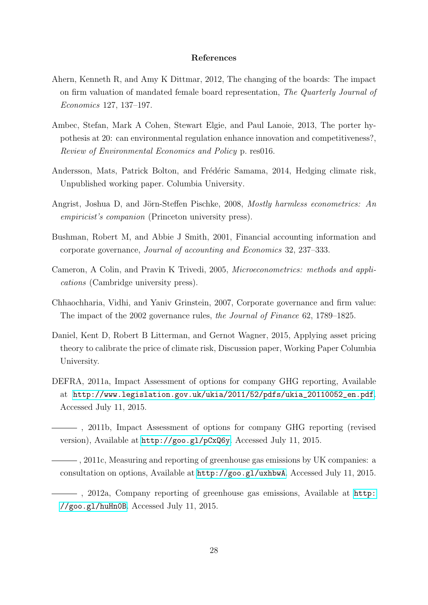# References

- <span id="page-28-4"></span>Ahern, Kenneth R, and Amy K Dittmar, 2012, The changing of the boards: The impact on firm valuation of mandated female board representation, The Quarterly Journal of Economics 127, 137–197.
- <span id="page-28-2"></span>Ambec, Stefan, Mark A Cohen, Stewart Elgie, and Paul Lanoie, 2013, The porter hypothesis at 20: can environmental regulation enhance innovation and competitiveness?, Review of Environmental Economics and Policy p. res016.
- <span id="page-28-0"></span>Andersson, Mats, Patrick Bolton, and Frédéric Samama, 2014, Hedging climate risk, Unpublished working paper. Columbia University.
- <span id="page-28-10"></span>Angrist, Joshua D, and Jörn-Steffen Pischke, 2008, Mostly harmless econometrics: An empiricist's companion (Princeton university press).
- <span id="page-28-9"></span>Bushman, Robert M, and Abbie J Smith, 2001, Financial accounting information and corporate governance, Journal of accounting and Economics 32, 237–333.
- <span id="page-28-11"></span>Cameron, A Colin, and Pravin K Trivedi, 2005, Microeconometrics: methods and applications (Cambridge university press).
- <span id="page-28-3"></span>Chhaochharia, Vidhi, and Yaniv Grinstein, 2007, Corporate governance and firm value: The impact of the 2002 governance rules, the Journal of Finance 62, 1789–1825.
- <span id="page-28-1"></span>Daniel, Kent D, Robert B Litterman, and Gernot Wagner, 2015, Applying asset pricing theory to calibrate the price of climate risk, Discussion paper, Working Paper Columbia University.
- <span id="page-28-6"></span>DEFRA, 2011a, Impact Assessment of options for company GHG reporting, Available at [http://www.legislation.gov.uk/ukia/2011/52/pdfs/ukia\\_20110052\\_en.pdf](http://www.legislation.gov.uk/ukia/2011/52/pdfs/ukia_20110052_en.pdf). Accessed July 11, 2015.

<span id="page-28-7"></span>, 2011b, Impact Assessment of options for company GHG reporting (revised version), Available at <http://goo.gl/pCxQ6y>. Accessed July 11, 2015.

<span id="page-28-5"></span>, 2011c, Measuring and reporting of greenhouse gas emissions by UK companies: a consultation on options, Available at <http://goo.gl/uxhbwA>. Accessed July 11, 2015.

<span id="page-28-8"></span>, 2012a, Company reporting of greenhouse gas emissions, Available at [http:](http://goo.gl/huHn0B) [//goo.gl/huHn0B](http://goo.gl/huHn0B). Accessed July 11, 2015.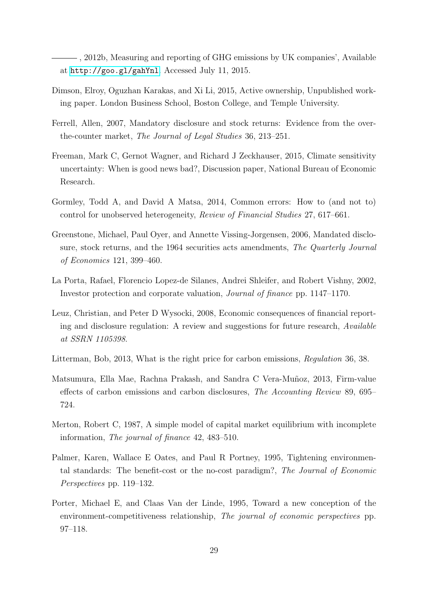<span id="page-29-10"></span>, 2012b, Measuring and reporting of GHG emissions by UK companies', Available at <http://goo.gl/gahYnl>. Accessed July 11, 2015.

- <span id="page-29-3"></span>Dimson, Elroy, Oguzhan Karakas, and Xi Li, 2015, Active ownership, Unpublished working paper. London Business School, Boston College, and Temple University.
- <span id="page-29-1"></span>Ferrell, Allen, 2007, Mandatory disclosure and stock returns: Evidence from the overthe-counter market, The Journal of Legal Studies 36, 213–251.
- <span id="page-29-6"></span>Freeman, Mark C, Gernot Wagner, and Richard J Zeckhauser, 2015, Climate sensitivity uncertainty: When is good news bad?, Discussion paper, National Bureau of Economic Research.
- <span id="page-29-12"></span>Gormley, Todd A, and David A Matsa, 2014, Common errors: How to (and not to) control for unobserved heterogeneity, Review of Financial Studies 27, 617–661.
- <span id="page-29-0"></span>Greenstone, Michael, Paul Oyer, and Annette Vissing-Jorgensen, 2006, Mandated disclosure, stock returns, and the 1964 securities acts amendments, The Quarterly Journal of Economics 121, 399–460.
- <span id="page-29-2"></span>La Porta, Rafael, Florencio Lopez-de Silanes, Andrei Shleifer, and Robert Vishny, 2002, Investor protection and corporate valuation, Journal of finance pp. 1147–1170.
- <span id="page-29-4"></span>Leuz, Christian, and Peter D Wysocki, 2008, Economic consequences of financial reporting and disclosure regulation: A review and suggestions for future research, Available at SSRN 1105398.
- <span id="page-29-5"></span>Litterman, Bob, 2013, What is the right price for carbon emissions, Regulation 36, 38.
- <span id="page-29-9"></span>Matsumura, Ella Mae, Rachna Prakash, and Sandra C Vera-Muñoz, 2013, Firm-value effects of carbon emissions and carbon disclosures, The Accounting Review 89, 695– 724.
- <span id="page-29-11"></span>Merton, Robert C, 1987, A simple model of capital market equilibrium with incomplete information, The journal of finance 42, 483–510.
- <span id="page-29-8"></span>Palmer, Karen, Wallace E Oates, and Paul R Portney, 1995, Tightening environmental standards: The benefit-cost or the no-cost paradigm?, The Journal of Economic Perspectives pp. 119–132.
- <span id="page-29-7"></span>Porter, Michael E, and Claas Van der Linde, 1995, Toward a new conception of the environment-competitiveness relationship, The journal of economic perspectives pp. 97–118.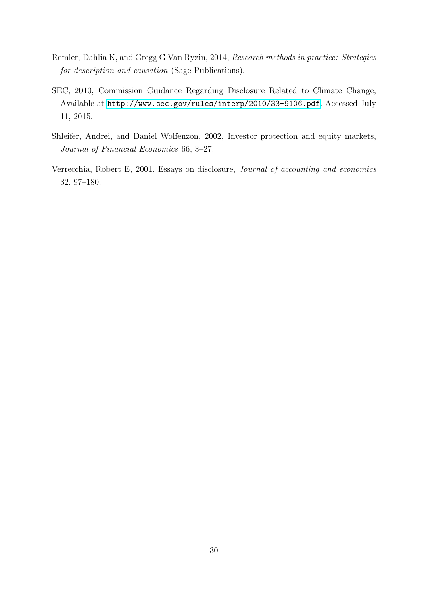- <span id="page-30-3"></span>Remler, Dahlia K, and Gregg G Van Ryzin, 2014, Research methods in practice: Strategies for description and causation (Sage Publications).
- <span id="page-30-0"></span>SEC, 2010, Commission Guidance Regarding Disclosure Related to Climate Change, Available at <http://www.sec.gov/rules/interp/2010/33-9106.pdf>. Accessed July 11, 2015.
- <span id="page-30-2"></span>Shleifer, Andrei, and Daniel Wolfenzon, 2002, Investor protection and equity markets, Journal of Financial Economics 66, 3–27.
- <span id="page-30-1"></span>Verrecchia, Robert E, 2001, Essays on disclosure, Journal of accounting and economics 32, 97–180.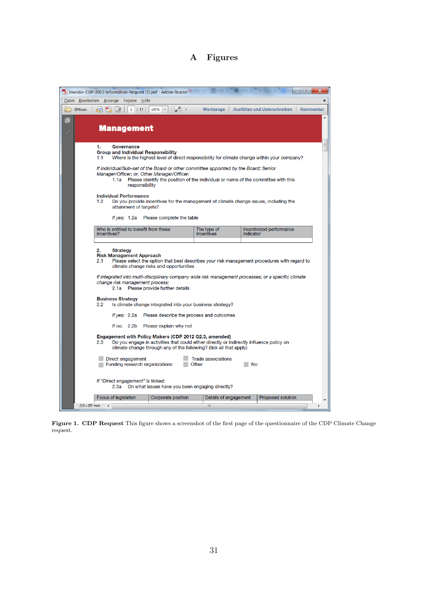# A Figures

<span id="page-31-0"></span>

|                             | TA Investor-CDP-2013-Information-Request (1).pdf - Adobe Reader                                                                                                                                                                                    |                                    |                                              |  |  |  |  |  |
|-----------------------------|----------------------------------------------------------------------------------------------------------------------------------------------------------------------------------------------------------------------------------------------------|------------------------------------|----------------------------------------------|--|--|--|--|--|
|                             | Datei Bearbeiten Anzeige Fenster Hilfe                                                                                                                                                                                                             |                                    | $\star$                                      |  |  |  |  |  |
| $\overrightarrow{C}$ Öffnen | 一群<br>100%<br>2 / 17<br>$\equiv$<br>1X                                                                                                                                                                                                             | Werkzeuge                          | Kommentar<br>Ausfüllen und Unterschreiben    |  |  |  |  |  |
| Ô                           | <b>Management</b>                                                                                                                                                                                                                                  |                                    | A                                            |  |  |  |  |  |
|                             | 1.<br>Governance<br><b>Group and Individual Responsibility</b><br>Where is the highest level of direct responsibility for climate change within your company?<br>1.1                                                                               |                                    | Ξ                                            |  |  |  |  |  |
|                             | If Individual/Sub-set of the Board or other committee appointed by the Board; Senior<br>Manager/Officer; or, Other Manager/Officer:<br>Please identify the position of the individual or name of the committee with this<br>1.1a<br>responsibility |                                    |                                              |  |  |  |  |  |
|                             | <b>Individual Performance</b><br>1.2<br>Do you provide incentives for the management of climate change issues, including the<br>attainment of targets?                                                                                             |                                    |                                              |  |  |  |  |  |
|                             | Please complete the table<br>If yes: 1.2a                                                                                                                                                                                                          |                                    |                                              |  |  |  |  |  |
|                             | Who is entitled to benefit from these<br>incentives?                                                                                                                                                                                               | The type of<br>incentives          | Incentivized performance<br><i>indicator</i> |  |  |  |  |  |
|                             | 2.<br><b>Strategy</b><br><b>Risk Management Approach</b><br>2.1<br>Please select the option that best describes your risk management procedures with regard to<br>climate change risks and opportunities                                           |                                    |                                              |  |  |  |  |  |
|                             | If integrated into multi-disciplinary company wide risk management processes; or a specific climate<br>change risk management process:<br>2.1a Please provide further details                                                                      |                                    |                                              |  |  |  |  |  |
|                             | <b>Business Strategy</b><br>2.2<br>Is climate change integrated into your business strategy?                                                                                                                                                       |                                    |                                              |  |  |  |  |  |
|                             | Please describe the process and outcomes<br>If yes: $2.2a$                                                                                                                                                                                         |                                    |                                              |  |  |  |  |  |
|                             | If no: 2.2b Please explain why not                                                                                                                                                                                                                 |                                    |                                              |  |  |  |  |  |
|                             | Engagement with Policy Makers (CDP 2012 Q2.3, amended)<br>Do you engage in activities that could either directly or indirectly influence policy on<br>2.3<br>climate change through any of the following? (tick all that apply)                    |                                    |                                              |  |  |  |  |  |
|                             | Direct engagement<br>Funding research organizations                                                                                                                                                                                                | <b>Trade associations</b><br>Other | No                                           |  |  |  |  |  |
|                             | If "Direct engagement" is ticked:<br>On what issues have you been engaging directly?<br>2.3a                                                                                                                                                       |                                    |                                              |  |  |  |  |  |
|                             | Focus of legislation<br>Corporate position                                                                                                                                                                                                         | Details of engagement              | Proposed solution                            |  |  |  |  |  |
| 210 x 297 mm                | $\overline{\phantom{a}}$                                                                                                                                                                                                                           | HL.                                |                                              |  |  |  |  |  |

Figure 1. CDP Request This figure shows a screenshot of the first page of the questionnaire of the CDP Climate Change request.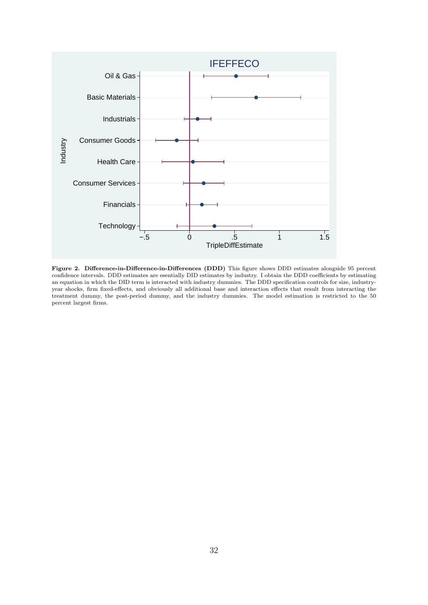<span id="page-32-0"></span>

Figure 2. Difference-in-Difference-in-Differences (DDD) This figure shows DDD estimates alongside 95 percent confidence intervals. DDD estimates are esentially DID estimates by industry. I obtain the DDD coefficients by estimating an equation in which the DID term is interacted with industry dummies. The DDD specification controls for size, industryyear shocks, firm fixed-effects, and obviously all additional base and interaction effects that result from interacting the treatment dummy, the post-period dummy, and the industry dummies. The model estimation is restricted to the 50 percent largest firms.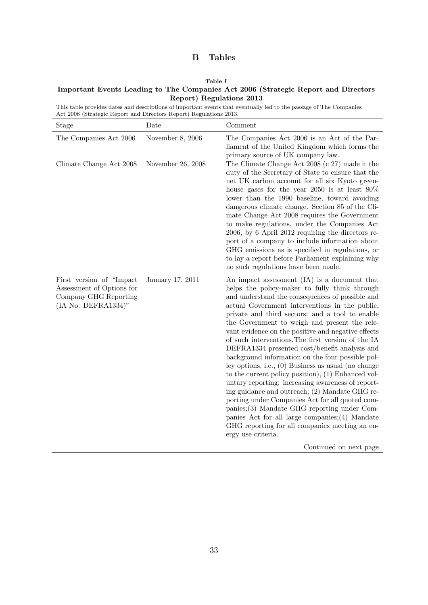# B Tables

#### Table I

<span id="page-33-0"></span>Important Events Leading to The Companies Act 2006 (Strategic Report and Directors Report) Regulations 2013

This table provides dates and descriptions of important events that eventually led to the passage of The Companies Act 2006 (Strategic Report and Directors Report) Regulations 2013.

| The Companies Act 2006<br>Climate Change Act 2008                                                      | November 8, 2006<br>November 26, 2008 | The Companies Act 2006 is an Act of the Par-<br>liament of the United Kingdom which forms the<br>primary source of UK company law.                                                                                                                                                                                                                                                                                                                                                                                                                                                                                                                                                                                                                                                                                                                                                                                                                                                                         |
|--------------------------------------------------------------------------------------------------------|---------------------------------------|------------------------------------------------------------------------------------------------------------------------------------------------------------------------------------------------------------------------------------------------------------------------------------------------------------------------------------------------------------------------------------------------------------------------------------------------------------------------------------------------------------------------------------------------------------------------------------------------------------------------------------------------------------------------------------------------------------------------------------------------------------------------------------------------------------------------------------------------------------------------------------------------------------------------------------------------------------------------------------------------------------|
|                                                                                                        |                                       | The Climate Change Act 2008 (c 27) made it the<br>duty of the Secretary of State to ensure that the<br>net UK carbon account for all six Kyoto green-<br>house gases for the year 2050 is at least $80\%$<br>lower than the 1990 baseline, toward avoiding<br>dangerous climate change. Section 85 of the Cli-<br>mate Change Act 2008 requires the Government<br>to make regulations, under the Companies Act<br>2006, by 6 April 2012 requiring the directors re-<br>port of a company to include information about<br>GHG emissions as is specified in regulations, or<br>to lay a report before Parliament explaining why<br>no such regulations have been made.                                                                                                                                                                                                                                                                                                                                       |
| First version of "Impact"<br>Assessment of Options for<br>Company GHG Reporting<br>(IA No: DEFRA1334)" | January 17, 2011                      | An impact assessment (IA) is a document that<br>helps the policy-maker to fully think through<br>and understand the consequences of possible and<br>actual Government interventions in the public,<br>private and third sectors; and a tool to enable<br>the Government to weigh and present the rele-<br>vant evidence on the positive and negative effects<br>of such interventions. The first version of the IA<br>DEFRA1334 presented cost/benefit analysis and<br>background information on the four possible pol-<br>icy options, i.e., (0) Business as usual (no change<br>to the current policy position), (1) Enhanced vol-<br>untary reporting: increasing awareness of report-<br>ing guidance and outreach; (2) Mandate GHG re-<br>porting under Companies Act for all quoted com-<br>$panies$ ; $(3)$ Mandate GHG reporting under Com-<br>panies Act for all large companies; $(4)$ Mandate<br>GHG reporting for all companies meeting an en-<br>ergy use criteria.<br>Continued on next page |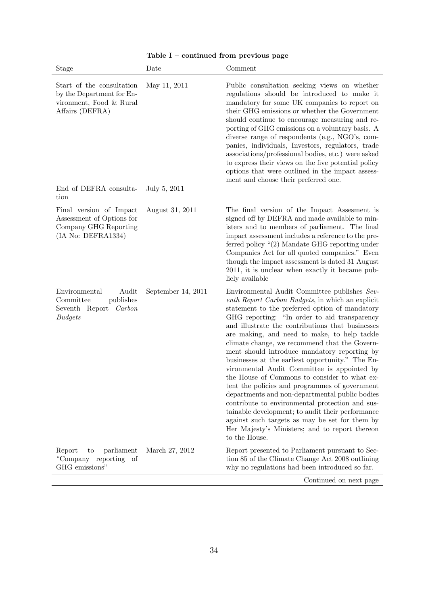| <b>Stage</b>                                                                                         | Date               | Comment                                                                                                                                                                                                                                                                                                                                                                                                                                                                                                                                                                                                                                                                                                                                                                                                                                                                                    |
|------------------------------------------------------------------------------------------------------|--------------------|--------------------------------------------------------------------------------------------------------------------------------------------------------------------------------------------------------------------------------------------------------------------------------------------------------------------------------------------------------------------------------------------------------------------------------------------------------------------------------------------------------------------------------------------------------------------------------------------------------------------------------------------------------------------------------------------------------------------------------------------------------------------------------------------------------------------------------------------------------------------------------------------|
| Start of the consultation<br>by the Department for En-<br>vironment, Food & Rural<br>Affairs (DEFRA) | May 11, 2011       | Public consultation seeking views on whether<br>regulations should be introduced to make it<br>mandatory for some UK companies to report on<br>their GHG emissions or whether the Government<br>should continue to encourage measuring and re-<br>porting of GHG emissions on a voluntary basis. A<br>diverse range of respondents (e.g., NGO's, com-<br>panies, individuals, Investors, regulators, trade<br>associations/professional bodies, etc.) were asked<br>to express their views on the five potential policy<br>options that were outlined in the impact assess-<br>ment and choose their preferred one.                                                                                                                                                                                                                                                                        |
| End of DEFRA consulta-<br>tion                                                                       | July 5, 2011       |                                                                                                                                                                                                                                                                                                                                                                                                                                                                                                                                                                                                                                                                                                                                                                                                                                                                                            |
| Final version of Impact<br>Assessment of Options for<br>Company GHG Reporting<br>(IA No: DEFRA1334)  | August 31, 2011    | The final version of the Impact Assesment is<br>signed off by DEFRA and made available to min-<br>isters and to members of parliament. The final<br>impact assessment includes a reference to the pre-<br>ferred policy $\lq(2)$ Mandate GHG reporting under<br>Companies Act for all quoted companies." Even<br>though the impact assessment is dated 31 August<br>2011, it is unclear when exactly it became pub-<br>licly available                                                                                                                                                                                                                                                                                                                                                                                                                                                     |
| Environmental<br>Audit<br>publishes<br>Committee<br>Seventh Report<br>Carbon<br><b>Budgets</b>       | September 14, 2011 | Environmental Audit Committee publishes Sev-<br>enth Report Carbon Budgets, in which an explicit<br>statement to the preferred option of mandatory<br>GHG reporting: "In order to aid transparency<br>and illustrate the contributions that businesses<br>are making, and need to make, to help tackle<br>climate change, we recommend that the Govern-<br>ment should introduce mandatory reporting by<br>businesses at the earliest opportunity." The En-<br>vironmental Audit Committee is appointed by<br>the House of Commons to consider to what ex-<br>tent the policies and programmes of government<br>departments and non-departmental public bodies<br>contribute to environmental protection and sus-<br>tainable development; to audit their performance<br>against such targets as may be set for them by<br>Her Majesty's Ministers; and to report thereon<br>to the House. |
| parliament<br>Report<br>to<br>"Company reporting of<br>GHG emissions"                                | March 27, 2012     | Report presented to Parliament pursuant to Sec-<br>tion 85 of the Climate Change Act 2008 outlining<br>why no regulations had been introduced so far.                                                                                                                                                                                                                                                                                                                                                                                                                                                                                                                                                                                                                                                                                                                                      |
|                                                                                                      |                    | Continued on next page                                                                                                                                                                                                                                                                                                                                                                                                                                                                                                                                                                                                                                                                                                                                                                                                                                                                     |

Table I – continued from previous page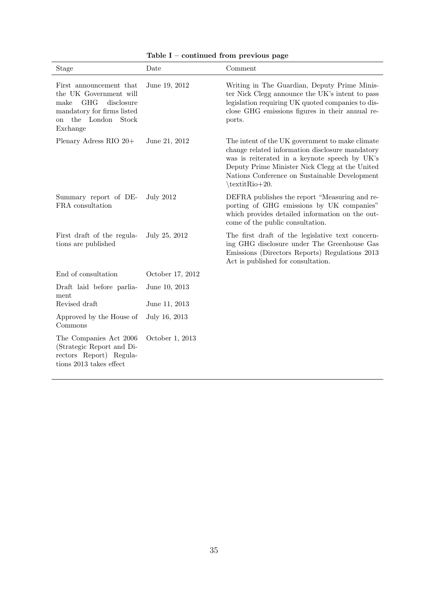| Stage                                                                                                                                                            | Date             | Comment                                                                                                                                                                                                                                                                    |
|------------------------------------------------------------------------------------------------------------------------------------------------------------------|------------------|----------------------------------------------------------------------------------------------------------------------------------------------------------------------------------------------------------------------------------------------------------------------------|
| First announcement that<br>the UK Government will<br>GHG<br>disclosure<br>make<br>mandatory for firms listed<br>the London<br>Stock<br><sub>on</sub><br>Exchange | June 19, 2012    | Writing in The Guardian, Deputy Prime Minis-<br>ter Nick Clegg announce the UK's intent to pass<br>legislation requiring UK quoted companies to dis-<br>close GHG emissions figures in their annual re-<br>ports.                                                          |
| Plenary Adress RIO 20+                                                                                                                                           | June 21, 2012    | The intent of the UK government to make climate<br>change related information disclosure mandatory<br>was is reiterated in a keynote speech by UK's<br>Deputy Prime Minister Nick Clegg at the United<br>Nations Conference on Sustainable Development<br>$\text{Rio+20}.$ |
| Summary report of DE-<br>FRA consultation                                                                                                                        | <b>July 2012</b> | DEFRA publishes the report "Measuring and re-<br>porting of GHG emissions by UK companies"<br>which provides detailed information on the out-<br>come of the public consultation.                                                                                          |
| First draft of the regula-<br>tions are published                                                                                                                | July 25, 2012    | The first draft of the legislative text concern-<br>ing GHG disclosure under The Greenhouse Gas<br>Emissions (Directors Reports) Regulations 2013<br>Act is published for consultation.                                                                                    |
| End of consultation                                                                                                                                              | October 17, 2012 |                                                                                                                                                                                                                                                                            |
| Draft laid before parlia-<br>ment                                                                                                                                | June 10, 2013    |                                                                                                                                                                                                                                                                            |
| Revised draft                                                                                                                                                    | June 11, 2013    |                                                                                                                                                                                                                                                                            |
| Approved by the House of<br>Commons                                                                                                                              | July 16, 2013    |                                                                                                                                                                                                                                                                            |
| The Companies Act 2006<br>(Strategic Report and Di-<br>rectors Report) Regula-<br>tions 2013 takes effect                                                        | October 1, 2013  |                                                                                                                                                                                                                                                                            |

Table I – continued from previous page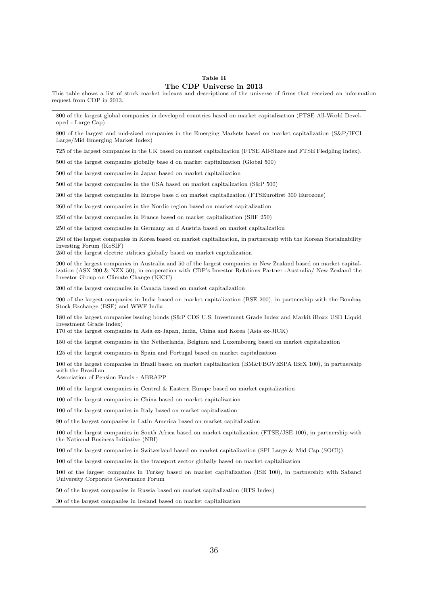#### Table II The CDP Universe in 2013

<span id="page-36-0"></span>This table shows a list of stock market indexes and descriptions of the universe of firms that received an information request from CDP in 2013.

800 of the largest global companies in developed countries based on market capitalization (FTSE All-World Developed - Large Cap)

800 of the largest and mid-sized companies in the Emerging Markets based on market capitalization (S&P/IFCI Large/Mid Emerging Market Index)

725 of the largest companies in the UK based on market capitalization (FTSE All-Share and FTSE Fledgling Index).

500 of the largest companies globally base d on market capitalization (Global 500)

500 of the largest companies in Japan based on market capitalization

500 of the largest companies in the USA based on market capitalization (S&P 500)

300 of the largest companies in Europe base d on market capitalization (FTSEurofirst 300 Eurozone)

260 of the largest companies in the Nordic region based on market capitalization

250 of the largest companies in France based on market capitalization (SBF 250)

250 of the largest companies in Germany an d Austria based on market capitalization

250 of the largest companies in Korea based on market capitalization, in partnership with the Korean Sustainability Investing Forum (KoSIF)

250 of the largest electric utilities globally based on market capitalization

200 of the largest companies in Australia and 50 of the largest companies in New Zealand based on market capitalization (ASX 200 & NZX 50), in cooperation with CDP's Investor Relations Partner -Australia/ New Zealand the Investor Group on Climate Change (IGCC)

200 of the largest companies in Canada based on market capitalization

200 of the largest companies in India based on market capitalization (BSE 200), in partnership with the Bombay Stock Exchange (BSE) and WWF India

180 of the largest companies issuing bonds (S&P CDS U.S. Investment Grade Index and Markit iBoxx USD Liquid Investment Grade Index)

170 of the largest companies in Asia ex-Japan, India, China and Korea (Asia ex-JICK)

150 of the largest companies in the Netherlands, Belgium and Luxembourg based on market capitalization

125 of the largest companies in Spain and Portugal based on market capitalization

100 of the largest companies in Brazil based on market capitalization (BM&FBOVESPA IBrX 100), in partnership with the Brazilian

Association of Pension Funds - ABRAPP

100 of the largest companies in Central & Eastern Europe based on market capitalization

100 of the largest companies in China based on market capitalization

100 of the largest companies in Italy based on market capitalization

80 of the largest companies in Latin America based on market capitalization

100 of the largest companies in South Africa based on market capitalization (FTSE/JSE 100), in partnership with the National Business Initiative (NBI)

100 of the largest companies in Switzerland based on market capitalization (SPI Large & Mid Cap (SOCI))

100 of the largest companies in the transport sector globally based on market capitalization

100 of the largest companies in Turkey based on market capitalization (ISE 100), in partnership with Sabanci University Corporate Governance Forum

50 of the largest companies in Russia based on market capitalization (RTS Index)

30 of the largest companies in Ireland based on market capitalization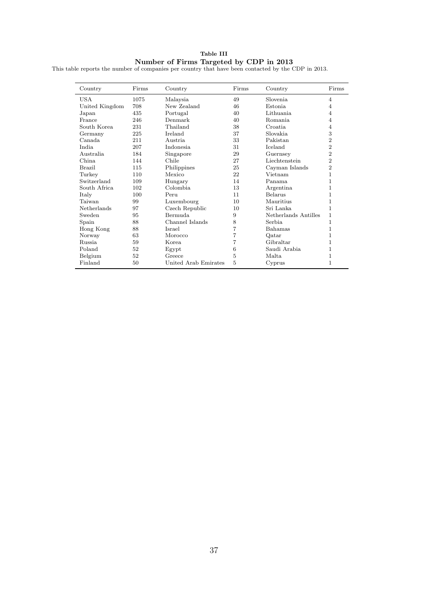Table III Number of Firms Targeted by CDP in 2013

<span id="page-37-0"></span>

|  |  |  | This table reports the number of companies per country that have been contacted by the CDP in 2013. |  |  |  |  |  |  |  |  |
|--|--|--|-----------------------------------------------------------------------------------------------------|--|--|--|--|--|--|--|--|
|--|--|--|-----------------------------------------------------------------------------------------------------|--|--|--|--|--|--|--|--|

| Country        | Firms | Country              | Firms | Country              | Firms          |
|----------------|-------|----------------------|-------|----------------------|----------------|
| <b>USA</b>     | 1075  | Malaysia             | 49    | Slovenia             | $\overline{4}$ |
| United Kingdom | 708   | New Zealand          | 46    | <b>Estonia</b>       | 4              |
| Japan          | 435   | Portugal             | 40    | Lithuania            | 4              |
| France         | 246   | Denmark              | 40    | <b>Romania</b>       | 4              |
| South Korea    | 231   | Thailand             | 38    | Croatia              | 4              |
| Germany        | 225   | Ireland              | 37    | Slovakia             | 3              |
| Canada.        | 211   | Austria.             | 33    | Pakistan             | $\overline{2}$ |
| India.         | 207   | <b>Indonesia</b>     | 31    | Iceland              | $\overline{2}$ |
| Australia      | 184   | Singapore            | 29    | Guernsey             | $\overline{2}$ |
| China.         | 144   | Chile                | 27    | Liechtenstein        | $\overline{2}$ |
| Brazil         | 115   | Philippines          | 25    | Cayman Islands       | $\overline{2}$ |
| Turkey         | 110   | Mexico               | 22    | Vietnam              | 1              |
| Switzerland    | 109   | Hungary              | 14    | Panama               | 1              |
| South Africa   | 102   | Colombia.            | 13    | Argentina            | 1              |
| Italy          | 100   | Peru                 | 11    | Belarus              | 1              |
| Taiwan         | 99    | Luxembourg           | 10    | Mauritius            | 1              |
| Netherlands    | 97    | Czech Republic       | 10    | Sri Lanka            | 1              |
| Sweden         | 95    | <b>Bermuda</b>       | 9     | Netherlands Antilles | $\mathbf{1}$   |
| Spain          | 88    | Channel Islands      | 8     | Serbia               | $\mathbf{1}$   |
| Hong Kong      | 88    | Israel               | 7     | <b>Bahamas</b>       | 1              |
| Norway         | 63    | Morocco              | 7     | Qatar                | 1              |
| <b>Russia</b>  | 59    | Korea.               | 7     | Gibraltar            | 1              |
| Poland         | 52    | Egypt                | 6     | Saudi Arabia         | 1              |
| Belgium        | 52    | Greece               | 5     | Malta.               | 1              |
| Finland        | 50    | United Arab Emirates | 5     | Cyprus               | 1              |
|                |       |                      |       |                      |                |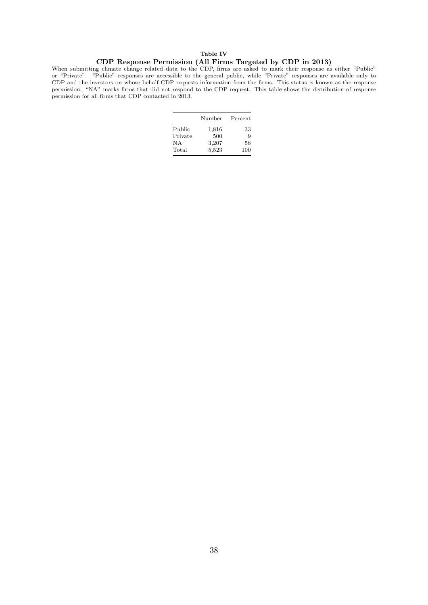# Table IV CDP Response Permission (All Firms Targeted by CDP in 2013)

<span id="page-38-0"></span>When submitting climate change related data to the CDP, firms are asked to mark their response as either "Public" or "Private". "Public" responses are accessible to the general public, while "Private" responses are available only to CDP and the investors on whose behalf CDP requests information from the firms. This status is known as the response permission. "NA" marks firms that did not respond to the CDP request. This table shows the distribution of response permission for all firms that CDP contacted in 2013.

|         | Number | Percent |
|---------|--------|---------|
| Public  | 1,816  | 33      |
| Private | 500    | 9       |
| N A     | 3,207  | 58      |
| Total   | 5,523  | 100     |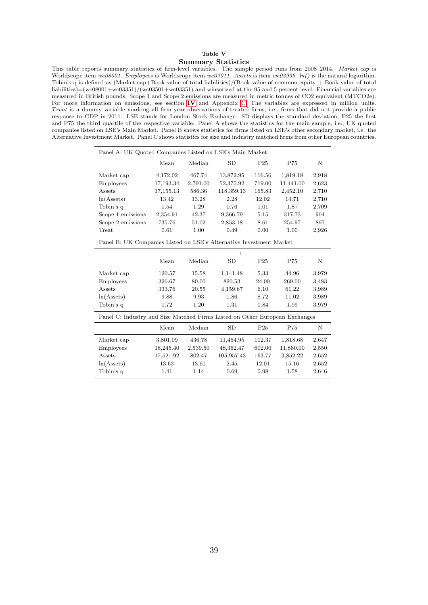#### Table V Summary Statistics

<span id="page-39-0"></span>This table reports summary statistics of firm-level variables. The sample period runs from 2008–2014. Market cap is Worldscope item wc08001. Employees is Worldscope item wc07011. Assets is item wc02999.  $ln()$  is the natural logarithm. Tobin's q is defined as (Market cap+Book value of total liabilities)/(Book value of common equity + Book value of total liabilities)=(wc08001+wc03351)/(wc03501+wc03351) and winsorized at the 95 and 5 percent level. Financial variables are measured in British pounds. Scope 1 and Scope 2 emissions are measured in metric tonnes of CO2 equivalent (MTCO2e). For more information on emissions, see section [IV](#page-13-0) and Appendix [C.](#page-46-0) The variables are expressed in million units. Treat is a dummy variable marking all firm year observations of treated firms, i.e., firms that did not provide a public response to CDP in 2011. LSE stands for London Stock Exchange. SD displays the standard deviation, P25 the first and P75 the third quartile of the respective variable. Panel A shows the statistics for the main sample, i.e., UK quoted companies listed on LSE's Main Market. Panel B shows statistics for firms listed on LSE's other secondary market, i.e. the Alternative Investment Market. Panel C shows statistics for size and industry matched firms from other European countries.

| Panel A: UK Quoted Companies Listed on LSE's Main Market                    |           |          |              |                 |           |       |  |
|-----------------------------------------------------------------------------|-----------|----------|--------------|-----------------|-----------|-------|--|
|                                                                             | Mean      | Median   | <b>SD</b>    | P <sub>25</sub> | P75       | N     |  |
| Market cap                                                                  | 4,172.02  | 467.74   | 13,872.95    | 116.56          | 1,819.18  | 2,918 |  |
| <b>Employees</b>                                                            | 17,193.34 | 2,791.00 | 52,375.92    | 719.00          | 11,441.00 | 2,623 |  |
| Assets                                                                      | 17,155.13 | 586.36   | 118,359.13   | 165.83          | 2,452.10  | 2,710 |  |
| $ln(A{\text{ssets}})$                                                       | 13.42     | 13.28    | 2.28         | 12.02           | 14.71     | 2,710 |  |
| Tobin's q                                                                   | 1.54      | 1.29     | 0.76         | 1.01            | 1.87      | 2,709 |  |
| Scope 1 emissions                                                           | 2,354.91  | 42.37    | 9,366.79     | 5.15            | 317.73    | 904   |  |
| Scope 2 emissions                                                           | 735.76    | 51.02    | 2,853.18     | 8.61            | 254.97    | 897   |  |
| Treat                                                                       | 0.61      | 1.00     | 0.49         | 0.00            | 1.00      | 2,926 |  |
| Panel B: UK Companies Listed on LSE's Alternative Investment Market         |           |          |              |                 |           |       |  |
|                                                                             |           |          | $\mathbf{1}$ |                 |           |       |  |
|                                                                             | Mean      | Median   | SD           | P <sub>25</sub> | P75       | Ν     |  |
| Market cap                                                                  | 120.57    | 15.58    | 1,141.48     | 5.33            | 44.96     | 3,979 |  |
| Employees                                                                   | 326.67    | 80.00    | 820.53       | 24.00           | 269.00    | 3,483 |  |
| Assets                                                                      | 333.76    | 20.55    | 4,159.67     | 6.10            | 61.22     | 3,989 |  |
| $ln(A{\text{ssets}})$                                                       | 9.88      | 9.93     | 1.86         | 8.72            | 11.02     | 3,989 |  |
| Tobin's q                                                                   | 1.72      | 1.20     | 1.31         | 0.84            | 1.99      | 3,979 |  |
| Panel C: Industry and Size Matched Firms Listed on Other European Exchanges |           |          |              |                 |           |       |  |
|                                                                             | Mean      | Median   | <b>SD</b>    | P <sub>25</sub> | P75       | Ν     |  |
| Market cap                                                                  | 3,801.09  | 436.78   | 11,464.95    | 102.37          | 1,818.68  | 2,647 |  |
| <b>Employees</b>                                                            | 18,245.40 | 2,539.50 | 48,362.47    | 602.00          | 11,880.00 | 2,550 |  |
| Assets                                                                      | 17,521.92 | 802.47   | 105,957.43   | 163.77          | 3,852.22  | 2,652 |  |
| $ln(A{\text{ssets}})$                                                       | 13.63     | 13.60    | 2.45         | 12.01           | 15.16     | 2,652 |  |
| Tobin's q                                                                   | 1.41      | 1.14     | 0.69         | 0.98            | 1.58      | 2,646 |  |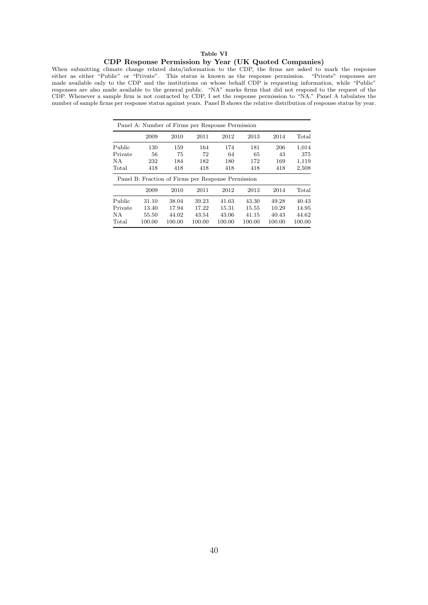### Table VI

#### CDP Response Permission by Year (UK Quoted Companies)

<span id="page-40-0"></span>When submitting climate change related data/information to the CDP, the firms are asked to mark the response either as either "Public" or "Private". This status is known as the response permission. "Private" responses are made available only to the CDP and the institutions on whose behalf CDP is requesting information, while "Public" responses are also made available to the general public. "NA" marks firms that did not respond to the request of the CDP. Whenever a sample firm is not contacted by CDP, I set the response permission to "NA." Panel A tabulates the number of sample firms per response status against years. Panel B shows the relative distribution of response status by year.

| Panel A: Number of Firms per Response Permission |        |        |        |                                                    |        |        |        |  |
|--------------------------------------------------|--------|--------|--------|----------------------------------------------------|--------|--------|--------|--|
|                                                  | 2009   | 2010   | 2011   | 2012                                               | 2013   | 2014   | Total  |  |
| Public                                           | 130    | 159    | 164    | 174                                                | 181    | 206    | 1,014  |  |
| Private                                          | 56     | 75     | 72     | 64                                                 | 65     | 43     | 375    |  |
| NА                                               | 232    | 184    | 182    | 180                                                | 172    | 169    | 1,119  |  |
| Total                                            | 418    | 418    | 418    | 418                                                | 418    | 418    | 2,508  |  |
|                                                  |        |        |        | Panel B: Fraction of Firms per Response Permission |        |        |        |  |
|                                                  | 2009   | 2010   | 2011   | 2012                                               | 2013   | 2014   | Total  |  |
| Public                                           | 31.10  | 38.04  | 39.23  | 41.63                                              | 43.30  | 49.28  | 40.43  |  |
| Private                                          | 13.40  | 17.94  | 17.22  | 15.31                                              | 15.55  | 10.29  | 14.95  |  |
| NА                                               | 55.50  | 44.02  | 43.54  | 43.06                                              | 41.15  | 40.43  | 44.62  |  |
| Total                                            | 100.00 | 100.00 | 100.00 | 100.00                                             | 100.00 | 100.00 | 100.00 |  |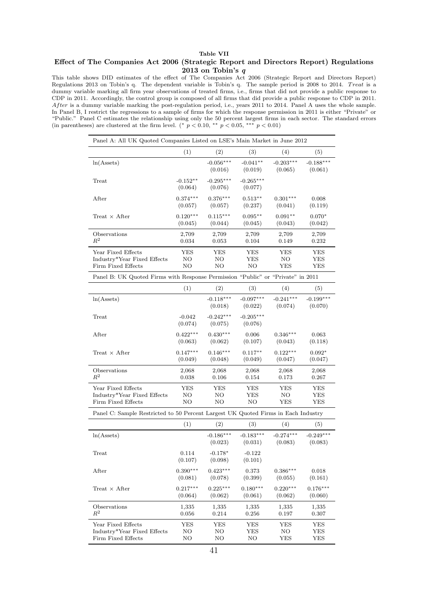### Table VII

#### <span id="page-41-0"></span>Effect of The Companies Act 2006 (Strategic Report and Directors Report) Regulations 2013 on Tobin's q

This table shows DID estimates of the effect of The Companies Act 2006 (Strategic Report and Directors Report) Regulations 2013 on Tobin's q. The dependent variable is Tobin's q. The sample period is 2008 to 2014. Treat is a dummy variable marking all firm year observations of treated firms, i.e., firms that did not provide a public response to CDP in 2011. Accordingly, the control group is composed of all firms that did provide a public response to CDP in 2011. After is a dummy variable marking the post-regulation period, i.e., years 2011 to 2014. Panel A uses the whole sample. In Panel B, I restrict the regressions to a sample of firms for which the response permission in 2011 is either "Private" or "Public." Panel C estimates the relationship using only the 50 percent largest firms in each sector. The standard errors (in parentheses) are clustered at the firm level. (\*  $p < 0.10$ , \*\*  $p < 0.05$ , \*\*\*  $p < 0.01$ )

| Panel A: All UK Quoted Companies Listed on LSE's Main Market in June 2012         |                       |                        |                        |                        |                        |  |  |  |
|-----------------------------------------------------------------------------------|-----------------------|------------------------|------------------------|------------------------|------------------------|--|--|--|
|                                                                                   | (1)                   | (2)                    | (3)                    | (4)                    | (5)                    |  |  |  |
| $ln(A{\text{ssets}})$                                                             |                       | $-0.056***$<br>(0.016) | $-0.041**$<br>(0.019)  | $-0.203***$<br>(0.065) | $-0.188***$<br>(0.061) |  |  |  |
| Treat                                                                             | $-0.152**$<br>(0.064) | $-0.295***$<br>(0.076) | $-0.265***$<br>(0.077) |                        |                        |  |  |  |
| After                                                                             | $0.374***$            | $0.376***$             | $0.513**$              | $0.301***$             | 0.008                  |  |  |  |
|                                                                                   | (0.057)               | (0.057)                | (0.237)                | (0.041)                | (0.119)                |  |  |  |
| $Treat \times After$                                                              | $0.120***$            | $0.115***$             | $0.095***$             | $0.091**$              | $0.070*$               |  |  |  |
|                                                                                   | (0.045)               | (0.044)                | (0.045)                | (0.043)                | (0.042)                |  |  |  |
| Observations                                                                      | 2,709                 | 2,709                  | 2,709                  | 2,709                  | 2,709                  |  |  |  |
| $R^2$                                                                             | 0.034                 | 0.053                  | 0.104                  | 0.149                  | 0.232                  |  |  |  |
| Year Fixed Effects                                                                | YES                   | YES                    | YES                    | YES                    | YES                    |  |  |  |
| Industry*Year Fixed Effects                                                       | NΟ                    | NΟ                     | YES                    | NΟ                     | YES                    |  |  |  |
| Firm Fixed Effects                                                                | NO                    | NΟ                     | NΟ                     | YES                    | YES                    |  |  |  |
| Panel B: UK Quoted Firms with Response Permission "Public" or "Private" in 2011   |                       |                        |                        |                        |                        |  |  |  |
|                                                                                   | (1)                   | (2)                    | (3)                    | (4)                    | (5)                    |  |  |  |
| $ln(A{\text{ssets}})$                                                             |                       | $-0.118***$<br>(0.018) | $-0.097***$<br>(0.022) | $-0.241***$<br>(0.074) | $-0.199***$<br>(0.070) |  |  |  |
| Treat                                                                             | $-0.042$<br>(0.074)   | $-0.242***$<br>(0.075) | $-0.205***$<br>(0.076) |                        |                        |  |  |  |
| After                                                                             | $0.422***$            | $0.430***$             | 0.006                  | $0.346***$             | 0.063                  |  |  |  |
|                                                                                   | (0.063)               | (0.062)                | (0.107)                | (0.043)                | (0.118)                |  |  |  |
| Treat $\times$ After                                                              | $0.147***$            | $0.146***$             | $0.117**$              | $0.122***$             | $0.092*$               |  |  |  |
|                                                                                   | (0.049)               | (0.048)                | (0.049)                | (0.047)                | (0.047)                |  |  |  |
| Observations                                                                      | 2,068                 | 2,068                  | 2,068                  | 2,068                  | 2,068                  |  |  |  |
| $R^2$                                                                             | 0.038                 | 0.106                  | 0.154                  | 0.173                  | 0.267                  |  |  |  |
| Year Fixed Effects                                                                | <b>YES</b>            | YES                    | <b>YES</b>             | YES                    | YES                    |  |  |  |
| Industry*Year Fixed Effects                                                       | NΟ                    | NΟ                     | YES                    | NΟ                     | YES                    |  |  |  |
| Firm Fixed Effects                                                                | NΟ                    | NΟ                     | NΟ                     | YES                    | YES                    |  |  |  |
| Panel C: Sample Restricted to 50 Percent Largest UK Quoted Firms in Each Industry |                       |                        |                        |                        |                        |  |  |  |
|                                                                                   | (1)                   | (2)                    | (3)                    | (4)                    | (5)                    |  |  |  |
| $ln(A{\text{ssets}})$                                                             |                       | $-0.186***$<br>(0.023) | $-0.183***$<br>(0.031) | $-0.274***$<br>(0.083) | $-0.249***$<br>(0.083) |  |  |  |
| Treat                                                                             | 0.114<br>(0.107)      | $-0.178*$<br>(0.098)   | $-0.122$<br>(0.101)    |                        |                        |  |  |  |
| After                                                                             | $0.390***$            | $0.423***$             | 0.373                  | $0.386***$             | 0.018                  |  |  |  |
|                                                                                   | (0.081)               | (0.078)                | (0.399)                | (0.055)                | (0.161)                |  |  |  |
| Treat $\times$ After                                                              | $0.217***$            | $0.225***$             | $0.180***$             | $0.220***$             | $0.176***$             |  |  |  |
|                                                                                   | (0.064)               | (0.062)                | (0.061)                | (0.062)                | (0.060)                |  |  |  |
| Observations                                                                      | 1,335                 | 1,335                  | 1,335                  | 1,335                  | 1,335                  |  |  |  |
| $R^2$                                                                             | 0.056                 | 0.214                  | 0.256                  | 0.197                  | 0.307                  |  |  |  |
| Year Fixed Effects                                                                | YES                   | YES                    | YES                    | YES                    | <b>YES</b>             |  |  |  |
| Industry*Year Fixed Effects                                                       | NΟ                    | NΟ                     | YES                    | NΟ                     | YES                    |  |  |  |
| Firm Fixed Effects                                                                | NO                    | NΟ                     | NO                     | YES                    | YES                    |  |  |  |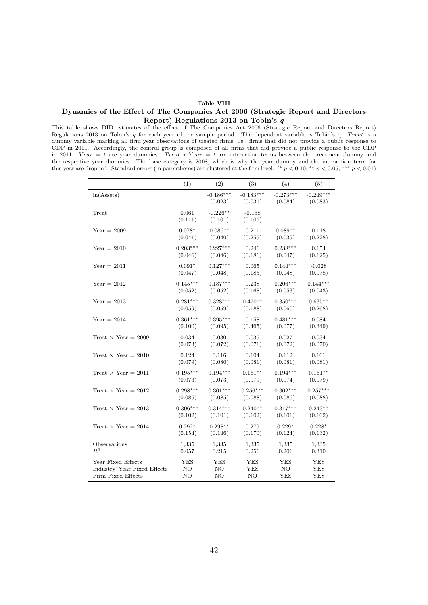#### Table VIII

#### <span id="page-42-0"></span>Dynamics of the Effect of The Companies Act 2006 (Strategic Report and Directors Report) Regulations 2013 on Tobin's q

This table shows DID estimates of the effect of The Companies Act 2006 (Strategic Report and Directors Report) Regulations 2013 on Tobin's  $q$  for each year of the sample period. The dependent variable is Tobin's  $q$ . Treat is a dummy variable marking all firm year observations of treated firms, i.e., firms that did not provide a public response to CDP in 2011. Accordingly, the control group is composed of all firms that did provide a public response to the CDP in 2011. Year = t are year dummies. Treat  $\times$  Year = t are interaction terms between the treatment dummy and the respective year dummies. The base category is 2008, which is why the year dummy and the interaction term for this year are dropped. Standard errors (in parentheses) are clustered at the firm level. (\*  $p < 0.10$ , \*\*  $p < 0.05$ , \*\*\*  $p < 0.01$ )

|                             | (1)              | (2)                    | (3)                    | (4)                    | (5)                    |
|-----------------------------|------------------|------------------------|------------------------|------------------------|------------------------|
| $ln(A{\text{ssets}})$       |                  | $-0.186***$<br>(0.023) | $-0.183***$<br>(0.031) | $-0.273***$<br>(0.084) | $-0.249***$<br>(0.083) |
| Treat                       | 0.061<br>(0.111) | $-0.226**$<br>(0.101)  | $-0.168$<br>(0.105)    |                        |                        |
| $Year = 2009$               | $0.078*$         | $0.086**$              | 0.211                  | $0.089**$              | 0.118                  |
|                             | (0.041)          | (0.040)                | (0.255)                | (0.039)                | (0.228)                |
| $Year = 2010$               | $0.203***$       | $0.227***$             | 0.246                  | $0.238***$             | 0.154                  |
|                             | (0.046)          | (0.046)                | (0.186)                | (0.047)                | (0.125)                |
| $Year = 2011$               | $0.091*$         | $0.127***$             | 0.065                  | $0.144***$             | $-0.028$               |
|                             | (0.047)          | (0.048)                | (0.185)                | (0.048)                | (0.078)                |
| $Year = 2012$               | $0.145***$       | $0.187***$             | 0.238                  | $0.206***$             | $0.144***$             |
|                             | (0.052)          | (0.052)                | (0.168)                | (0.053)                | (0.043)                |
| $Year = 2013$               | $0.281***$       | $0.328***$             | $0.470**$              | $0.350***$             | $0.635**$              |
|                             | (0.059)          | (0.059)                | (0.188)                | (0.060)                | (0.268)                |
| $Year = 2014$               | $0.361***$       | $0.395***$             | 0.158                  | $0.481***$             | 0.084                  |
|                             | (0.100)          | (0.095)                | (0.465)                | (0.077)                | (0.349)                |
| Treat $\times$ Year = 2009  | 0.034            | 0.030                  | 0.035                  | 0.027                  | 0.034                  |
|                             | (0.073)          | (0.072)                | (0.071)                | (0.072)                | (0.070)                |
| Treat $\times$ Year = 2010  | 0.124            | 0.116                  | 0.104                  | 0.112                  | 0.101                  |
|                             | (0.079)          | (0.080)                | (0.081)                | (0.081)                | (0.081)                |
| Treat $\times$ Year = 2011  | $0.195***$       | $0.194***$             | $0.161**$              | $0.194***$             | $0.161**$              |
|                             | (0.073)          | (0.073)                | (0.079)                | (0.074)                | (0.079)                |
| Treat $\times$ Year = 2012  | $0.298***$       | $0.301***$             | $0.256***$             | $0.302***$             | $0.257***$             |
|                             | (0.085)          | (0.085)                | (0.088)                | (0.086)                | (0.088)                |
| Treat $\times$ Year = 2013  | $0.306***$       | $0.314***$             | $0.240**$              | $0.317***$             | $0.243**$              |
|                             | (0.102)          | (0.101)                | (0.102)                | (0.101)                | (0.102)                |
| Treat $\times$ Year = 2014  | $0.292*$         | $0.298**$              | 0.279                  | $0.229*$               | $0.228*$               |
|                             | (0.154)          | (0.146)                | (0.170)                | (0.124)                | (0.132)                |
| Observations                | 1,335            | 1,335                  | 1,335                  | 1,335                  | 1,335                  |
| $R^2$                       | 0.057            | 0.215                  | 0.256                  | 0.201                  | 0.310                  |
| Year Fixed Effects          | YES              | YES                    | YES                    | YES                    | YES                    |
| Industry*Year Fixed Effects | NO               | NO                     | YES                    | N <sub>O</sub>         | <b>YES</b>             |
| Firm Fixed Effects          | NO               | NO                     | NO                     | <b>YES</b>             | <b>YES</b>             |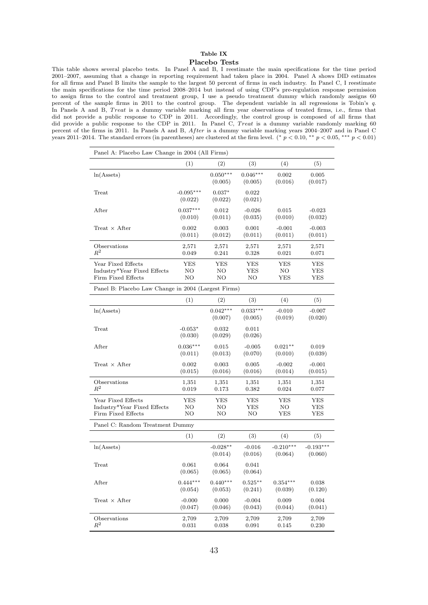# Table IX

#### Placebo Tests

<span id="page-43-0"></span>This table shows several placebo tests. In Panel A and B, I reestimate the main specifications for the time period 2001–2007, assuming that a change in reporting requirement had taken place in 2004. Panel A shows DID estimates for all firms and Panel B limits the sample to the largest 50 percent of firms in each industry. In Panel C, I reestimate the main specifications for the time period 2008–2014 but instead of using CDP's pre-regulation response permission to assign firms to the control and treatment group, I use a pseudo treatment dummy which randomly assigns 60 percent of the sample firms in 2011 to the control group. The dependent variable in all regressions is Tobin's q. In Panels A and B, Treat is a dummy variable marking all firm year observations of treated firms, i.e., firms that did not provide a public response to CDP in 2011. Accordingly, the control group is composed of all firms that did provide a public response to the CDP in 2011. In Panel C, Treat is a dummy variable randomly marking 60 percent of the firms in 2011. In Panels A and B, After is a dummy variable marking years 2004–2007 and in Panel C years 2011–2014. The standard errors (in parentheses) are clustered at the firm level. (\*  $p < 0.10$ , \*\*  $p < 0.05$ , \*\*\*  $p < 0.01$ )

| Panel A: Placebo Law Change in 2004 (All Firms)                         |                        |                       |                       |                        |                        |
|-------------------------------------------------------------------------|------------------------|-----------------------|-----------------------|------------------------|------------------------|
|                                                                         | (1)                    | (2)                   | (3)                   | (4)                    | (5)                    |
| $ln(A{\text{ssets}})$                                                   |                        | $0.050***$<br>(0.005) | $0.046***$<br>(0.005) | 0.002<br>(0.016)       | 0.005<br>(0.017)       |
| Treat                                                                   | $-0.095***$<br>(0.022) | $0.037*$<br>(0.022)   | 0.022<br>(0.021)      |                        |                        |
| After                                                                   | $0.037***$<br>(0.010)  | 0.012<br>(0.011)      | $-0.026$<br>(0.035)   | 0.015<br>(0.010)       | $-0.023$<br>(0.032)    |
| Treat $\times$ After                                                    | 0.002<br>(0.011)       | 0.003<br>(0.012)      | 0.001<br>(0.011)      | $-0.001$<br>(0.011)    | $-0.003$<br>(0.011)    |
| Observations<br>$\mathbb{R}^2$                                          | 2,571<br>0.049         | 2,571<br>0.241        | 2,571<br>0.328        | 2,571<br>0.021         | $^{2,571}$<br>0.071    |
| Year Fixed Effects<br>Industry*Year Fixed Effects<br>Firm Fixed Effects | YES<br>NΟ<br>NΟ        | YES<br>NO<br>NΟ       | YES<br>YES<br>NΟ      | YES<br>NO<br>YES       | YES<br>YES<br>YES      |
| Panel B: Placebo Law Change in 2004 (Largest Firms)                     |                        |                       |                       |                        |                        |
|                                                                         | (1)                    | (2)                   | (3)                   | (4)                    | (5)                    |
| $ln(A{\text{ssets}})$                                                   |                        | $0.042***$<br>(0.007) | $0.033***$<br>(0.005) | $-0.010$<br>(0.019)    | $-0.007$<br>(0.020)    |
| Treat                                                                   | $-0.053*$<br>(0.030)   | 0.032<br>(0.029)      | 0.011<br>(0.026)      |                        |                        |
| After                                                                   | $0.036***$<br>(0.011)  | 0.015<br>(0.013)      | $-0.005$<br>(0.070)   | $0.021**$<br>(0.010)   | 0.019<br>(0.039)       |
| Treat $\times$ After                                                    | 0.002<br>(0.015)       | 0.003<br>(0.016)      | 0.005<br>(0.016)      | $-0.002$<br>(0.014)    | $-0.001$<br>(0.015)    |
| Observations<br>$\,R^2$                                                 | 1,351<br>0.019         | 1,351<br>0.173        | 1,351<br>0.382        | 1,351<br>0.024         | 1,351<br>0.077         |
| Year Fixed Effects<br>Industry*Year Fixed Effects<br>Firm Fixed Effects | YES<br>NΟ<br>NO        | YES<br>NΟ<br>NΟ       | YES<br>YES<br>NΟ      | YES<br>NO.<br>YES      | YES<br>YES<br>YES      |
| Panel C: Random Treatment Dummy                                         |                        |                       |                       |                        |                        |
|                                                                         | (1)                    | (2)                   | (3)                   | (4)                    | (5)                    |
| $ln(A{\text{ssets}})$                                                   |                        | $-0.028**$<br>(0.014) | $-0.016$<br>(0.016)   | $-0.210***$<br>(0.064) | $-0.193***$<br>(0.060) |
| Treat                                                                   | 0.061<br>(0.065)       | 0.064<br>(0.065)      | 0.041<br>(0.064)      |                        |                        |
| After                                                                   | $0.444***$<br>(0.054)  | $0.440***$<br>(0.053) | $0.525***$<br>(0.241) | $0.354***$<br>(0.039)  | $\,0.038\,$<br>(0.120) |
| $Treat \times After$                                                    | $-0.000$<br>(0.047)    | 0.000<br>(0.046)      | $-0.004$<br>(0.043)   | 0.009<br>(0.044)       | 0.004<br>(0.041)       |
| Observations<br>$\mathbb{R}^2$                                          | 2,709<br>0.031         | 2,709<br>0.038        | 2,709<br>$\,0.091\,$  | 2,709<br>0.145         | 2,709<br>0.230         |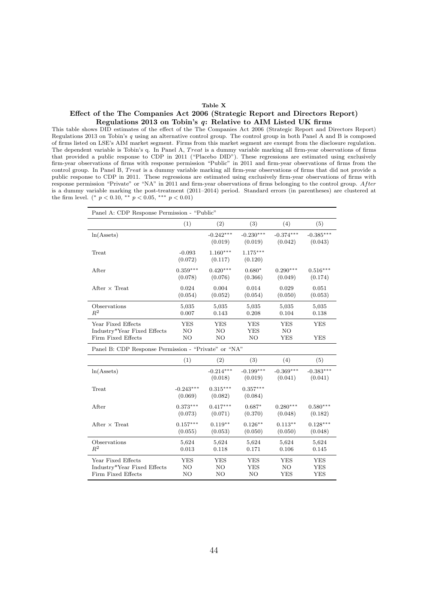#### Table X

#### <span id="page-44-0"></span>Effect of the The Companies Act 2006 (Strategic Report and Directors Report) Regulations 2013 on Tobin's q: Relative to AIM Listed UK firms

This table shows DID estimates of the effect of the The Companies Act 2006 (Strategic Report and Directors Report) Regulations 2013 on Tobin's q using an alternative control group. The control group in both Panel A and B is composed of firms listed on LSE's AIM market segment. Firms from this market segment are exempt from the disclosure regulation. The dependent variable is Tobin's q. In Panel A, Treat is a dummy variable marking all firm-year observations of firms that provided a public response to CDP in 2011 ("Placebo DID"). These regressions are estimated using exclusively firm-year observations of firms with response permission "Public" in 2011 and firm-year observations of firms from the control group. In Panel B, Treat is a dummy variable marking all firm-year observations of firms that did not provide a public response to CDP in 2011. These regressions are estimated using exclusively firm-year observations of firms with response permission "Private" or "NA" in 2011 and firm-year observations of firms belonging to the control group. Af ter is a dummy variable marking the post-treatment (2011–2014) period. Standard errors (in parentheses) are clustered at the firm level. (\*  $p < 0.10$ , \*\*  $p < 0.05$ , \*\*\*  $p < 0.01$ )

| Panel A: CDP Response Permission - "Public"                             |                       |                        |                         |                        |                        |
|-------------------------------------------------------------------------|-----------------------|------------------------|-------------------------|------------------------|------------------------|
|                                                                         | (1)                   | (2)                    | (3)                     | (4)                    | (5)                    |
| $ln(A{\text{ssets}})$                                                   |                       | $-0.242***$<br>(0.019) | $-0.230***$<br>(0.019)  | $-0.374***$<br>(0.042) | $-0.385***$<br>(0.043) |
| Treat                                                                   | $-0.093$<br>(0.072)   | $1.160***$<br>(0.117)  | $1.175***$<br>(0.120)   |                        |                        |
| After                                                                   | $0.359***$<br>(0.078) | $0.420***$<br>(0.076)  | $0.680*$<br>(0.366)     | $0.290***$<br>(0.049)  | $0.516***$<br>(0.174)  |
| After $\times$ Treat                                                    | 0.024<br>(0.054)      | 0.004<br>(0.052)       | 0.014<br>(0.054)        | 0.029<br>(0.050)       | 0.051<br>(0.053)       |
| Observations<br>$R^2$                                                   | 5,035<br>0.007        | 5,035<br>0.143         | 5,035<br>0.208          | 5,035<br>0.104         | 5,035<br>0.138         |
| Year Fixed Effects<br>Industry*Year Fixed Effects<br>Firm Fixed Effects | YES<br>NO<br>NO       | YES<br>NO<br>NO        | <b>YES</b><br>YES<br>NO | YES<br>NO<br>YES       | YES<br>YES             |

Panel B: CDP Response Permission - "Private" or "NA"

|                             | (1)                    | (2)                    | (3)                    | (4)                    | (5)                    |
|-----------------------------|------------------------|------------------------|------------------------|------------------------|------------------------|
| $ln(A{\text{ssets}})$       |                        | $-0.214***$<br>(0.018) | $-0.199***$<br>(0.019) | $-0.369***$<br>(0.041) | $-0.383***$<br>(0.041) |
| Treat                       | $-0.243***$<br>(0.069) | $0.315***$<br>(0.082)  | $0.357***$<br>(0.084)  |                        |                        |
| After                       | $0.373***$             | $0.417***$             | $0.687*$               | $0.280***$             | $0.580***$             |
|                             | (0.073)                | (0.071)                | (0.370)                | (0.048)                | (0.182)                |
| After $\times$ Treat        | $0.157***$             | $0.119**$              | $0.126**$              | $0.113**$              | $0.128***$             |
|                             | (0.055)                | (0.053)                | (0.050)                | (0.050)                | (0.048)                |
| Observations                | 5,624                  | 5,624                  | 5,624                  | 5,624                  | 5,624                  |
| $R^2$                       | 0.013                  | 0.118                  | 0.171                  | 0.106                  | 0.145                  |
| Year Fixed Effects          | YES                    | YES                    | YES                    | YES                    | <b>YES</b>             |
| Industry*Year Fixed Effects | NO.                    | NO                     | YES                    | NO.                    | YES                    |
| Firm Fixed Effects          | NO                     | NO                     | NΟ                     | YES                    | YES                    |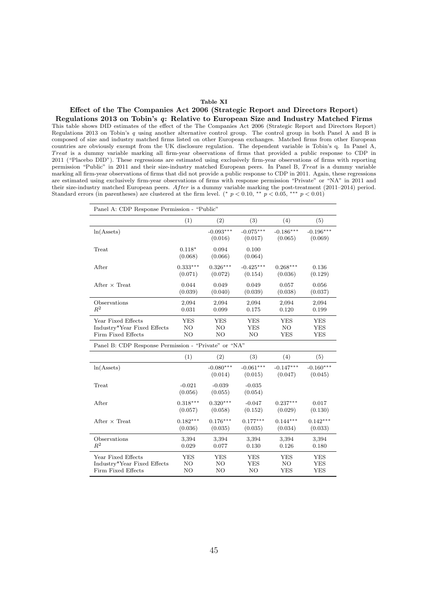#### Table XI

# <span id="page-45-0"></span>Effect of the The Companies Act 2006 (Strategic Report and Directors Report)

Regulations 2013 on Tobin's q: Relative to European Size and Industry Matched Firms This table shows DID estimates of the effect of the The Companies Act 2006 (Strategic Report and Directors Report) Regulations 2013 on Tobin's q using another alternative control group. The control group in both Panel A and B is composed of size and industry matched firms listed on other European exchanges. Matched firms from other European countries are obviously exempt from the UK disclosure regulation. The dependent variable is Tobin's q. In Panel A, Treat is a dummy variable marking all firm-year observations of firms that provided a public response to CDP in 2011 ("Placebo DID"). These regressions are estimated using exclusively firm-year observations of firms with reporting permission "Public" in 2011 and their size-industry matched European peers. In Panel B, Treat is a dummy variable marking all firm-year observations of firms that did not provide a public response to CDP in 2011. Again, these regressions are estimated using exclusively firm-year observations of firms with response permission "Private" or "NA" in 2011 and their size-industry matched European peers. After is a dummy variable marking the post-treatment (2011–2014) period. Standard errors (in parentheses) are clustered at the firm level. (\*  $p < 0.10$ , \*\*  $p < 0.05$ , \*\*\*  $p < 0.01$ )

| Panel A: CDP Response Permission - "Public"          |            |             |             |             |             |
|------------------------------------------------------|------------|-------------|-------------|-------------|-------------|
|                                                      | (1)        | (2)         | (3)         | (4)         | (5)         |
| $ln(A{\text{ssets}})$                                |            | $-0.093***$ | $-0.075***$ | $-0.186***$ | $-0.196***$ |
|                                                      |            | (0.016)     | (0.017)     | (0.065)     | (0.069)     |
| Treat                                                | $0.118*$   | 0.094       | 0.100       |             |             |
|                                                      | (0.068)    | (0.066)     | (0.064)     |             |             |
| After                                                | $0.333***$ | $0.326***$  | $-0.425***$ | $0.268***$  | 0.136       |
|                                                      | (0.071)    | (0.072)     | (0.154)     | (0.036)     | (0.129)     |
| After $\times$ Treat                                 | 0.044      | 0.049       | 0.049       | 0.057       | 0.056       |
|                                                      | (0.039)    | (0.040)     | (0.039)     | (0.038)     | (0.037)     |
| Observations                                         | 2,094      | 2,094       | 2,094       | 2,094       | 2,094       |
| $R^2$                                                | 0.031      | 0.099       | 0.175       | 0.120       | 0.199       |
| Year Fixed Effects                                   | <b>YES</b> | <b>YES</b>  | <b>YES</b>  | <b>YES</b>  | <b>YES</b>  |
| Industry*Year Fixed Effects                          | NO         | NO.         | <b>YES</b>  | NO.         | <b>YES</b>  |
| Firm Fixed Effects                                   | NO         | NO          | NO.         | YES         | <b>YES</b>  |
| Panel B: CDP Response Permission - "Private" or "NA" |            |             |             |             |             |
|                                                      | (1)        | (2)         | (3)         | (4)         | (5)         |
| $ln(A{\text{ssets}})$                                |            | $-0.080***$ | $-0.061***$ | $-0.147***$ | $-0.160***$ |
|                                                      |            | (0.014)     | (0.015)     | (0.047)     | (0.045)     |
| Treat                                                | $-0.021$   | $-0.039$    | $-0.035$    |             |             |
|                                                      | (0.056)    | (0.055)     | (0.054)     |             |             |
| After                                                | $0.318***$ | $0.320***$  | $-0.047$    | $0.237***$  | 0.017       |

| After                       | $0.318***$ | $0.320***$ | $-0.047$   | $0.237***$ | 0.017      |
|-----------------------------|------------|------------|------------|------------|------------|
|                             | (0.057)    | (0.058)    | (0.152)    | (0.029)    | (0.130)    |
| After $\times$ Treat        | $0.182***$ | $0.176***$ | $0.177***$ | $0.144***$ | $0.142***$ |
|                             | (0.036)    | (0.035)    | (0.035)    | (0.034)    | (0.033)    |
| Observations                | 3,394      | 3,394      | 3,394      | 3,394      | 3,394      |
| $R^2$                       | 0.029      | 0.077      | 0.130      | 0.126      | 0.180      |
| Year Fixed Effects          | YES        | YES        | YES        | YES        | YES        |
| Industry*Year Fixed Effects | NO         | NO         | YES        | NO         | YES        |
| Firm Fixed Effects          | NO.        | NO.        | NO.        | <b>YES</b> | <b>YES</b> |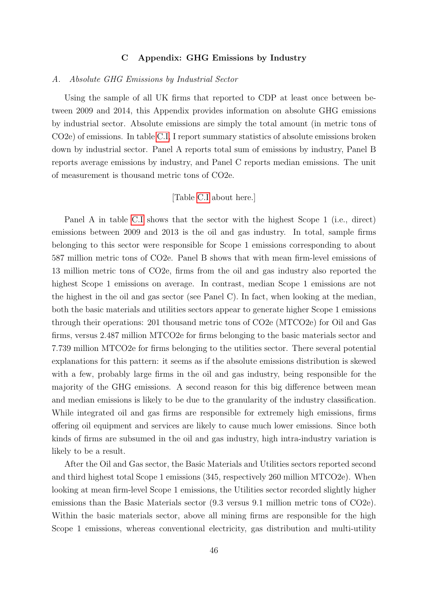# C Appendix: GHG Emissions by Industry

# <span id="page-46-0"></span>A. Absolute GHG Emissions by Industrial Sector

Using the sample of all UK firms that reported to CDP at least once between between 2009 and 2014, this Appendix provides information on absolute GHG emissions by industrial sector. Absolute emissions are simply the total amount (in metric tons of CO2e) of emissions. In table [C.I,](#page-49-0) I report summary statistics of absolute emissions broken down by industrial sector. Panel A reports total sum of emissions by industry, Panel B reports average emissions by industry, and Panel C reports median emissions. The unit of measurement is thousand metric tons of CO2e.

# [Table [C.I](#page-49-0) about here.]

Panel A in table [C.I](#page-49-0) shows that the sector with the highest Scope 1 (i.e., direct) emissions between 2009 and 2013 is the oil and gas industry. In total, sample firms belonging to this sector were responsible for Scope 1 emissions corresponding to about 587 million metric tons of CO2e. Panel B shows that with mean firm-level emissions of 13 million metric tons of CO2e, firms from the oil and gas industry also reported the highest Scope 1 emissions on average. In contrast, median Scope 1 emissions are not the highest in the oil and gas sector (see Panel C). In fact, when looking at the median, both the basic materials and utilities sectors appear to generate higher Scope 1 emissions through their operations: 201 thousand metric tons of CO2e (MTCO2e) for Oil and Gas firms, versus 2.487 million MTCO2e for firms belonging to the basic materials sector and 7.739 million MTCO2e for firms belonging to the utilities sector. There several potential explanations for this pattern: it seems as if the absolute emissions distribution is skewed with a few, probably large firms in the oil and gas industry, being responsible for the majority of the GHG emissions. A second reason for this big difference between mean and median emissions is likely to be due to the granularity of the industry classification. While integrated oil and gas firms are responsible for extremely high emissions, firms offering oil equipment and services are likely to cause much lower emissions. Since both kinds of firms are subsumed in the oil and gas industry, high intra-industry variation is likely to be a result.

After the Oil and Gas sector, the Basic Materials and Utilities sectors reported second and third highest total Scope 1 emissions (345, respectively 260 million MTCO2e). When looking at mean firm-level Scope 1 emissions, the Utilities sector recorded slightly higher emissions than the Basic Materials sector (9.3 versus 9.1 million metric tons of CO2e). Within the basic materials sector, above all mining firms are responsible for the high Scope 1 emissions, whereas conventional electricity, gas distribution and multi-utility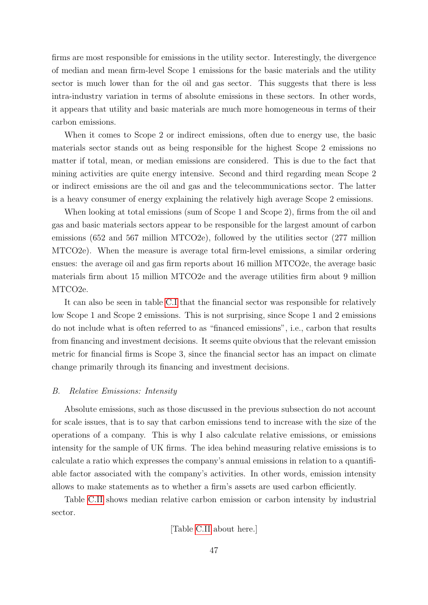firms are most responsible for emissions in the utility sector. Interestingly, the divergence of median and mean firm-level Scope 1 emissions for the basic materials and the utility sector is much lower than for the oil and gas sector. This suggests that there is less intra-industry variation in terms of absolute emissions in these sectors. In other words, it appears that utility and basic materials are much more homogeneous in terms of their carbon emissions.

When it comes to Scope 2 or indirect emissions, often due to energy use, the basic materials sector stands out as being responsible for the highest Scope 2 emissions no matter if total, mean, or median emissions are considered. This is due to the fact that mining activities are quite energy intensive. Second and third regarding mean Scope 2 or indirect emissions are the oil and gas and the telecommunications sector. The latter is a heavy consumer of energy explaining the relatively high average Scope 2 emissions.

When looking at total emissions (sum of Scope 1 and Scope 2), firms from the oil and gas and basic materials sectors appear to be responsible for the largest amount of carbon emissions (652 and 567 million MTCO2e), followed by the utilities sector (277 million MTCO2e). When the measure is average total firm-level emissions, a similar ordering ensues: the average oil and gas firm reports about 16 million MTCO2e, the average basic materials firm about 15 million MTCO2e and the average utilities firm about 9 million MTCO2e.

It can also be seen in table [C.I](#page-49-0) that the financial sector was responsible for relatively low Scope 1 and Scope 2 emissions. This is not surprising, since Scope 1 and 2 emissions do not include what is often referred to as "financed emissions", i.e., carbon that results from financing and investment decisions. It seems quite obvious that the relevant emission metric for financial firms is Scope 3, since the financial sector has an impact on climate change primarily through its financing and investment decisions.

# B. Relative Emissions: Intensity

Absolute emissions, such as those discussed in the previous subsection do not account for scale issues, that is to say that carbon emissions tend to increase with the size of the operations of a company. This is why I also calculate relative emissions, or emissions intensity for the sample of UK firms. The idea behind measuring relative emissions is to calculate a ratio which expresses the company's annual emissions in relation to a quantifiable factor associated with the company's activities. In other words, emission intensity allows to make statements as to whether a firm's assets are used carbon efficiently.

Table [C.II](#page-50-0) shows median relative carbon emission or carbon intensity by industrial sector.

[Table [C.II](#page-50-0) about here.]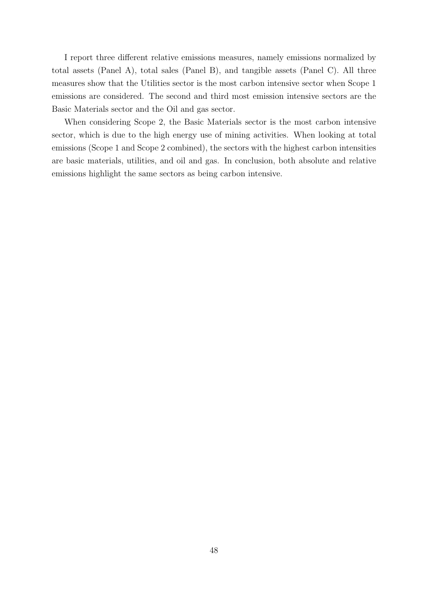I report three different relative emissions measures, namely emissions normalized by total assets (Panel A), total sales (Panel B), and tangible assets (Panel C). All three measures show that the Utilities sector is the most carbon intensive sector when Scope 1 emissions are considered. The second and third most emission intensive sectors are the Basic Materials sector and the Oil and gas sector.

When considering Scope 2, the Basic Materials sector is the most carbon intensive sector, which is due to the high energy use of mining activities. When looking at total emissions (Scope 1 and Scope 2 combined), the sectors with the highest carbon intensities are basic materials, utilities, and oil and gas. In conclusion, both absolute and relative emissions highlight the same sectors as being carbon intensive.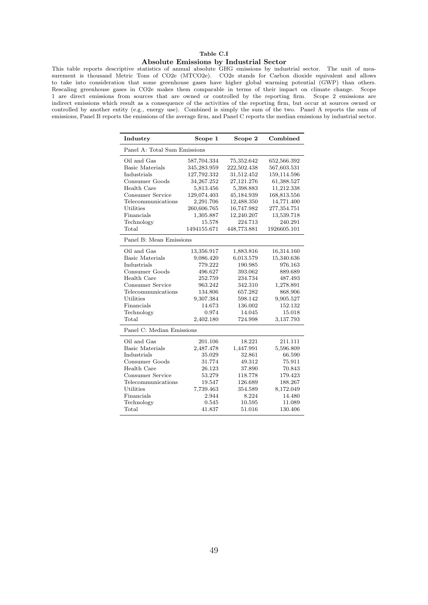# Table C.I

#### Absolute Emissions by Industrial Sector

<span id="page-49-0"></span>This table reports descriptive statistics of annual absolute GHG emissions by industrial sector. The unit of measurement is thousand Metric Tons of CO2e (MTCO2e). CO2e stands for Carbon dioxide equivalent and allows to take into consideration that some greenhouse gases have higher global warming potential (GWP) than others. Rescaling greenhouse gases in CO2e makes them comparable in terms of their impact on climate change. Scope 1 are direct emissions from sources that are owned or controlled by the reporting firm. Scope 2 emissions are indirect emissions which result as a consequence of the activities of the reporting firm, but occur at sources owned or controlled by another entity (e.g., energy use). Combined is simply the sum of the two. Panel A reports the sum of emissions, Panel B reports the emissions of the average firm, and Panel C reports the median emissions by industrial sector.

| Industry                     | Scope 1      | Scope 2     | Combined    |
|------------------------------|--------------|-------------|-------------|
| Panel A: Total Sum Emissions |              |             |             |
| Oil and Gas                  | 587,704.334  | 75,352.642  | 652,566.392 |
| Basic Materials              | 345,283.959  | 222,502.438 | 567,603.531 |
| Industrials                  | 127,792.332  | 31,512.452  | 159,114.596 |
| Consumer Goods               | 34, 267. 252 | 27,121.276  | 61,388.527  |
| Health Care                  | 5,813.456    | 5,398.883   | 11,212.338  |
| Consumer Service             | 129,074.403  | 45,184.939  | 168,813.556 |
| Telecommunications           | 2,291.706    | 12,488.350  | 14,771.400  |
| Utilities                    | 260,606.765  | 16,747.982  | 277,354.751 |
| Financials                   | 1,305.887    | 12,240.207  | 13,539.718  |
| Technology                   | 15.578       | 224.713     | 240.291     |
| Total                        | 1494155.671  | 448,773.881 | 1926605.101 |
| Panel B: Mean Emissions      |              |             |             |
| Oil and Gas                  | 13,356.917   | 1,883.816   | 16,314.160  |
| <b>Basic Materials</b>       | 9,086.420    | 6,013.579   | 15,340.636  |
| Industrials                  | 779.222      | 190.985     | 976.163     |
| Consumer Goods               | 496.627      | 393.062     | 889.689     |
| Health Care                  | 252.759      | 234.734     | 487.493     |
| Consumer Service             | 963.242      | 342.310     | 1,278.891   |
| Telecommunications           | 134.806      | 657.282     | 868.906     |
| Utilities                    | 9,307.384    | 598.142     | 9,905.527   |
| Financials                   | 14.673       | 136.002     | 152.132     |
| Technology                   | 0.974        | 14.045      | 15.018      |
| $_{\rm Total}$               | 2,402.180    | 724.998     | 3,137.793   |
| Panel C: Median Emissions    |              |             |             |
| Oil and Gas                  | 201.106      | 18.221      | 211.111     |
| <b>Basic Materials</b>       | 2,487.478    | 1,447.991   | 5,596.809   |
| Industrials                  | 35.029       | 32.861      | 66.590      |
| Consumer Goods               | 31.774       | 49.312      | 75.911      |
| Health Care                  | 26.123       | 37.890      | 70.843      |
| Consumer Service             | 53.279       | 118.778     | 179.423     |
| Telecommunications           | 19.547       | 126.689     | 188.267     |
| Utilities                    | 7,739.463    | 354.589     | 8,172.049   |
| Financials                   | 2.944        | 8.224       | 14.480      |
| Technology                   | 0.545        | 10.595      | 11.089      |
| $_{\rm Total}$               | 41.837       | 51.016      | 130.406     |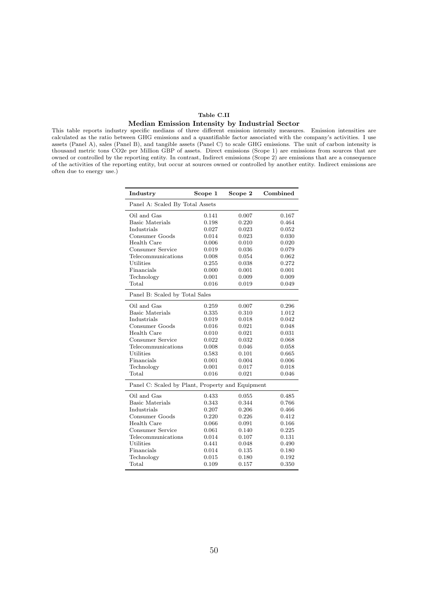#### Table C.II

#### Median Emission Intensity by Industrial Sector

<span id="page-50-0"></span>This table reports industry specific medians of three different emission intensity measures. Emission intensities are calculated as the ratio between GHG emissions and a quantifiable factor associated with the company's activities. I use assets (Panel A), sales (Panel B), and tangible assets (Panel C) to scale GHG emissions. The unit of carbon intensity is thousand metric tons CO2e per Million GBP of assets. Direct emissions (Scope 1) are emissions from sources that are owned or controlled by the reporting entity. In contrast, Indirect emissions (Scope 2) are emissions that are a consequence of the activities of the reporting entity, but occur at sources owned or controlled by another entity. Indirect emissions are often due to energy use.)

> $\overline{a}$  $\overline{a}$  $\overline{a}$

> $\overline{a}$

| Industry                                         | Scope 1 | Scope 2 | Combined |
|--------------------------------------------------|---------|---------|----------|
| Panel A: Scaled By Total Assets                  |         |         |          |
| Oil and Gas                                      | 0.141   | 0.007   | 0.167    |
| Basic Materials                                  | 0.198   | 0.220   | 0.464    |
| Industrials                                      | 0.027   | 0.023   | 0.052    |
| Consumer Goods                                   | 0.014   | 0.023   | 0.030    |
| Health Care                                      | 0.006   | 0.010   | 0.020    |
| Consumer Service                                 | 0.019   | 0.036   | 0.079    |
| Telecommunications                               | 0.008   | 0.054   | 0.062    |
| Utilities                                        | 0.255   | 0.038   | 0.272    |
| Financials                                       | 0.000   | 0.001   | 0.001    |
| Technology                                       | 0.001   | 0.009   | 0.009    |
| Total                                            | 0.016   | 0.019   | 0.049    |
| Panel B: Scaled by Total Sales                   |         |         |          |
| Oil and Gas                                      | 0.259   | 0.007   | 0.296    |
| Basic Materials                                  | 0.335   | 0.310   | 1.012    |
| Industrials                                      | 0.019   | 0.018   | 0.042    |
| Consumer Goods                                   | 0.016   | 0.021   | 0.048    |
| Health Care                                      | 0.010   | 0.021   | 0.031    |
| Consumer Service                                 | 0.022   | 0.032   | 0.068    |
| Telecommunications                               | 0.008   | 0.046   | 0.058    |
| Utilities                                        | 0.583   | 0.101   | 0.665    |
| Financials                                       | 0.001   | 0.004   | 0.006    |
| Technology                                       | 0.001   | 0.017   | 0.018    |
| $_{\rm Total}$                                   | 0.016   | 0.021   | 0.046    |
| Panel C: Scaled by Plant, Property and Equipment |         |         |          |
| Oil and Gas                                      | 0.433   | 0.055   | 0.485    |
| Basic Materials                                  | 0.343   | 0.344   | 0.766    |
| Industrials                                      | 0.207   | 0.206   | 0.466    |
| Consumer Goods                                   | 0.220   | 0.226   | 0.412    |
| Health Care                                      | 0.066   | 0.091   | 0.166    |
| Consumer Service                                 | 0.061   | 0.140   | 0.225    |
| Telecommunications                               | 0.014   | 0.107   | 0.131    |
| Utilities                                        | 0.441   | 0.048   | 0.490    |
| Financials                                       | 0.014   | 0.135   | 0.180    |
| Technology                                       | 0.015   | 0.180   | 0.192    |
| Total                                            | 0.109   | 0.157   | 0.350    |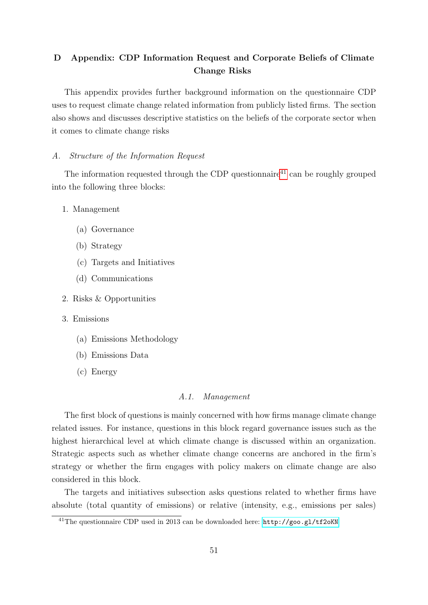# <span id="page-51-0"></span>D Appendix: CDP Information Request and Corporate Beliefs of Climate Change Risks

This appendix provides further background information on the questionnaire CDP uses to request climate change related information from publicly listed firms. The section also shows and discusses descriptive statistics on the beliefs of the corporate sector when it comes to climate change risks

# A. Structure of the Information Request

The information requested through the CDP questionnaire<sup>[41](#page-51-1)</sup> can be roughly grouped into the following three blocks:

- 1. Management
	- (a) Governance
	- (b) Strategy
	- (c) Targets and Initiatives
	- (d) Communications
- 2. Risks & Opportunities
- 3. Emissions
	- (a) Emissions Methodology
	- (b) Emissions Data
	- (c) Energy

#### A.1. Management

The first block of questions is mainly concerned with how firms manage climate change related issues. For instance, questions in this block regard governance issues such as the highest hierarchical level at which climate change is discussed within an organization. Strategic aspects such as whether climate change concerns are anchored in the firm's strategy or whether the firm engages with policy makers on climate change are also considered in this block.

The targets and initiatives subsection asks questions related to whether firms have absolute (total quantity of emissions) or relative (intensity, e.g., emissions per sales)

<span id="page-51-1"></span><sup>41</sup>The questionnaire CDP used in 2013 can be downloaded here: <http://goo.gl/tf2oKN>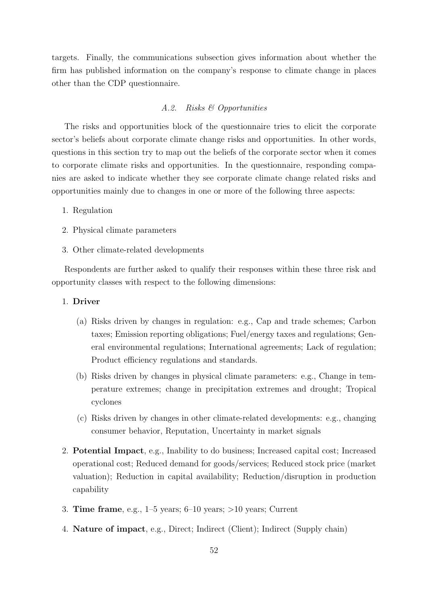targets. Finally, the communications subsection gives information about whether the firm has published information on the company's response to climate change in places other than the CDP questionnaire.

# A.2. Risks & Opportunities

The risks and opportunities block of the questionnaire tries to elicit the corporate sector's beliefs about corporate climate change risks and opportunities. In other words, questions in this section try to map out the beliefs of the corporate sector when it comes to corporate climate risks and opportunities. In the questionnaire, responding companies are asked to indicate whether they see corporate climate change related risks and opportunities mainly due to changes in one or more of the following three aspects:

- 1. Regulation
- 2. Physical climate parameters
- 3. Other climate-related developments

Respondents are further asked to qualify their responses within these three risk and opportunity classes with respect to the following dimensions:

# 1. Driver

- (a) Risks driven by changes in regulation: e.g., Cap and trade schemes; Carbon taxes; Emission reporting obligations; Fuel/energy taxes and regulations; General environmental regulations; International agreements; Lack of regulation; Product efficiency regulations and standards.
- (b) Risks driven by changes in physical climate parameters: e.g., Change in temperature extremes; change in precipitation extremes and drought; Tropical cyclones
- (c) Risks driven by changes in other climate-related developments: e.g., changing consumer behavior, Reputation, Uncertainty in market signals
- 2. Potential Impact, e.g., Inability to do business; Increased capital cost; Increased operational cost; Reduced demand for goods/services; Reduced stock price (market valuation); Reduction in capital availability; Reduction/disruption in production capability
- 3. Time frame, e.g.,  $1-5$  years;  $6-10$  years;  $>10$  years; Current
- 4. Nature of impact, e.g., Direct; Indirect (Client); Indirect (Supply chain)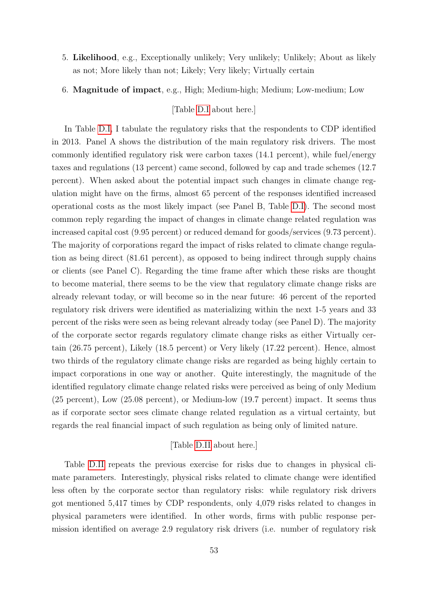5. Likelihood, e.g., Exceptionally unlikely; Very unlikely; Unlikely; About as likely as not; More likely than not; Likely; Very likely; Virtually certain

6. Magnitude of impact, e.g., High; Medium-high; Medium; Low-medium; Low

[Table [D.I](#page-56-0) about here.]

In Table [D.I,](#page-56-0) I tabulate the regulatory risks that the respondents to CDP identified in 2013. Panel A shows the distribution of the main regulatory risk drivers. The most commonly identified regulatory risk were carbon taxes (14.1 percent), while fuel/energy taxes and regulations (13 percent) came second, followed by cap and trade schemes (12.7 percent). When asked about the potential impact such changes in climate change regulation might have on the firms, almost 65 percent of the responses identified increased operational costs as the most likely impact (see Panel B, Table [D.I\)](#page-56-0). The second most common reply regarding the impact of changes in climate change related regulation was increased capital cost (9.95 percent) or reduced demand for goods/services (9.73 percent). The majority of corporations regard the impact of risks related to climate change regulation as being direct (81.61 percent), as opposed to being indirect through supply chains or clients (see Panel C). Regarding the time frame after which these risks are thought to become material, there seems to be the view that regulatory climate change risks are already relevant today, or will become so in the near future: 46 percent of the reported regulatory risk drivers were identified as materializing within the next 1-5 years and 33 percent of the risks were seen as being relevant already today (see Panel D). The majority of the corporate sector regards regulatory climate change risks as either Virtually certain (26.75 percent), Likely (18.5 percent) or Very likely (17.22 percent). Hence, almost two thirds of the regulatory climate change risks are regarded as being highly certain to impact corporations in one way or another. Quite interestingly, the magnitude of the identified regulatory climate change related risks were perceived as being of only Medium (25 percent), Low (25.08 percent), or Medium-low (19.7 percent) impact. It seems thus as if corporate sector sees climate change related regulation as a virtual certainty, but regards the real financial impact of such regulation as being only of limited nature.

# [Table [D.II](#page-57-0) about here.]

Table [D.II](#page-57-0) repeats the previous exercise for risks due to changes in physical climate parameters. Interestingly, physical risks related to climate change were identified less often by the corporate sector than regulatory risks: while regulatory risk drivers got mentioned 5,417 times by CDP respondents, only 4,079 risks related to changes in physical parameters were identified. In other words, firms with public response permission identified on average 2.9 regulatory risk drivers (i.e. number of regulatory risk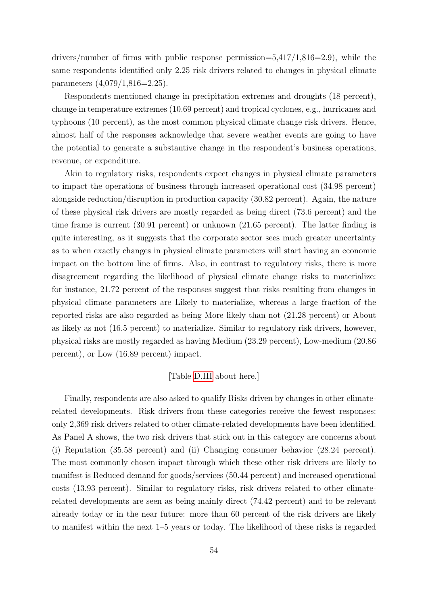drivers/number of firms with public response permission= $5,417/1,816=2.9$ , while the same respondents identified only 2.25 risk drivers related to changes in physical climate parameters (4,079/1,816=2.25).

Respondents mentioned change in precipitation extremes and droughts (18 percent), change in temperature extremes (10.69 percent) and tropical cyclones, e.g., hurricanes and typhoons (10 percent), as the most common physical climate change risk drivers. Hence, almost half of the responses acknowledge that severe weather events are going to have the potential to generate a substantive change in the respondent's business operations, revenue, or expenditure.

Akin to regulatory risks, respondents expect changes in physical climate parameters to impact the operations of business through increased operational cost (34.98 percent) alongside reduction/disruption in production capacity (30.82 percent). Again, the nature of these physical risk drivers are mostly regarded as being direct (73.6 percent) and the time frame is current (30.91 percent) or unknown (21.65 percent). The latter finding is quite interesting, as it suggests that the corporate sector sees much greater uncertainty as to when exactly changes in physical climate parameters will start having an economic impact on the bottom line of firms. Also, in contrast to regulatory risks, there is more disagreement regarding the likelihood of physical climate change risks to materialize: for instance, 21.72 percent of the responses suggest that risks resulting from changes in physical climate parameters are Likely to materialize, whereas a large fraction of the reported risks are also regarded as being More likely than not (21.28 percent) or About as likely as not (16.5 percent) to materialize. Similar to regulatory risk drivers, however, physical risks are mostly regarded as having Medium (23.29 percent), Low-medium (20.86 percent), or Low (16.89 percent) impact.

# [Table [D.III](#page-58-0) about here.]

Finally, respondents are also asked to qualify Risks driven by changes in other climaterelated developments. Risk drivers from these categories receive the fewest responses: only 2,369 risk drivers related to other climate-related developments have been identified. As Panel A shows, the two risk drivers that stick out in this category are concerns about (i) Reputation (35.58 percent) and (ii) Changing consumer behavior (28.24 percent). The most commonly chosen impact through which these other risk drivers are likely to manifest is Reduced demand for goods/services (50.44 percent) and increased operational costs (13.93 percent). Similar to regulatory risks, risk drivers related to other climaterelated developments are seen as being mainly direct (74.42 percent) and to be relevant already today or in the near future: more than 60 percent of the risk drivers are likely to manifest within the next 1–5 years or today. The likelihood of these risks is regarded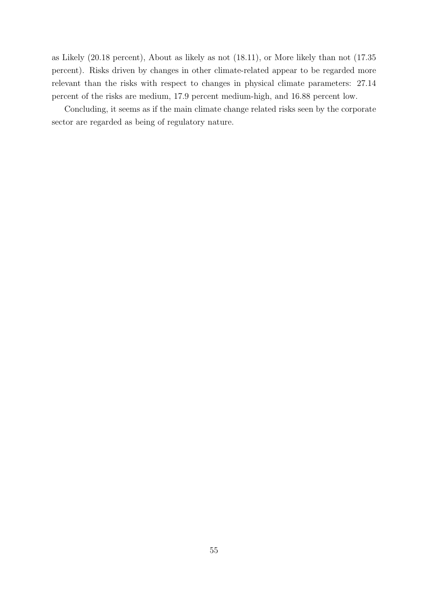as Likely (20.18 percent), About as likely as not (18.11), or More likely than not (17.35 percent). Risks driven by changes in other climate-related appear to be regarded more relevant than the risks with respect to changes in physical climate parameters: 27.14 percent of the risks are medium, 17.9 percent medium-high, and 16.88 percent low.

Concluding, it seems as if the main climate change related risks seen by the corporate sector are regarded as being of regulatory nature.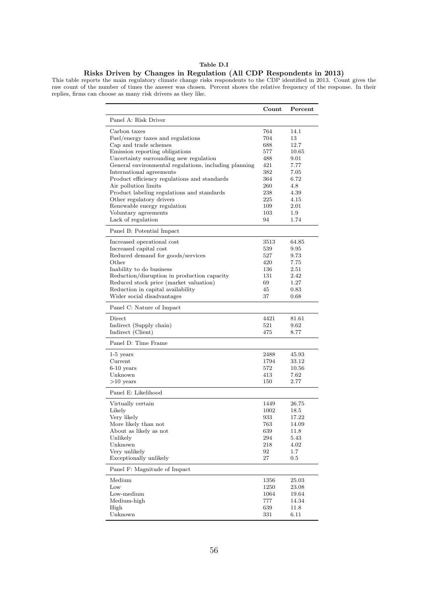#### Table D.I

#### Risks Driven by Changes in Regulation (All CDP Respondents in 2013)

<span id="page-56-0"></span>This table reports the main regulatory climate change risks respondents to the CDP identified in 2013. Count gives the raw count of the number of times the answer was chosen. Percent shows the relative frequency of the response. In their replies, firms can choose as many risk drivers as they like.

|                                                       | Count | Percent      |
|-------------------------------------------------------|-------|--------------|
| Panel A: Risk Driver                                  |       |              |
| Carbon taxes                                          | 764   | 14.1         |
| Fuel/energy taxes and regulations                     | 704   | 13           |
| Cap and trade schemes                                 | 688   | 12.7         |
| Emission reporting obligations                        | 577   | 10.65        |
| Uncertainty surrounding new regulation                | 488   | 9.01         |
| General environmental regulations, including planning | 421   | 7.77         |
| International agreements                              | 382   | 7.05         |
| Product efficiency regulations and standards          | 364   | 6.72         |
|                                                       | 260   | 4.8          |
| Air pollution limits                                  |       |              |
| Product labeling regulations and standards            | 238   | 4.39<br>4.15 |
| Other regulatory drivers                              | 225   |              |
| Renewable energy regulation                           | 109   | 2.01         |
| Voluntary agreements                                  | 103   | 1.9          |
| Lack of regulation                                    | 94    | 1.74         |
| Panel B: Potential Impact                             |       |              |
| Increased operational cost                            | 3513  | 64.85        |
| Increased capital cost                                | 539   | 9.95         |
| Reduced demand for goods/services                     | 527   | 9.73         |
| Other                                                 | 420   | 7.75         |
| Inability to do business                              | 136   | $2.51\,$     |
| Reduction/disruption in production capacity           | 131   | 2.42         |
| Reduced stock price (market valuation)                | 69    | 1.27         |
| Reduction in capital availability                     | 45    | 0.83         |
| Wider social disadvantages                            | 37    | 0.68         |
|                                                       |       |              |
| Panel C: Nature of Impact                             |       |              |
| Direct                                                | 4421  | 81.61        |
| Indirect (Supply chain)                               | 521   | 9.62         |
| Indirect (Client)                                     | 475   | 8.77         |
| Panel D: Time Frame                                   |       |              |
| $1-5$ years                                           | 2488  | 45.93        |
| Current                                               | 1794  | 33.12        |
| $6-10$ years                                          | 572   | 10.56        |
| Unknown                                               | 413   | 7.62         |
| $>10$ years                                           | 150   | 2.77         |
| Panel E: Likelihood                                   |       |              |
|                                                       |       |              |
| Virtually certain                                     | 1449  | 26.75        |
| Likely                                                | 1002  | 18.5         |
| Very likely                                           | 933   | 17.22        |
| More likely than not                                  | 763   | 14.09        |
| About as likely as not                                | 639   | 11.8         |
| Unlikely                                              | 294   | 5.43         |
| Unknown                                               | 218   | 4.02         |
| Very unlikely                                         | 92    | $1.7\,$      |
| Exceptionally unlikely                                | 27    | $0.5\,$      |
| Panel F: Magnitude of Impact                          |       |              |
| Medium                                                | 1356  | 25.03        |
| $_{\text{Low}}$                                       | 1250  | 23.08        |
| Low-medium                                            | 1064  | 19.64        |
| Medium-high                                           | 777   | 14.34        |
| High                                                  | 639   | 11.8         |
| Unknown                                               | 331   | 6.11         |
|                                                       |       |              |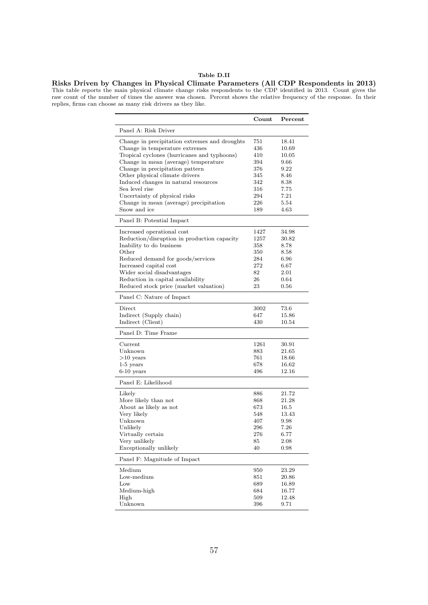# Table D.II

<span id="page-57-0"></span>Risks Driven by Changes in Physical Climate Parameters (All CDP Respondents in 2013) This table reports the main physical climate change risks respondents to the CDP identified in 2013. Count gives the raw count of the number of times the answer was chosen. Percent shows the relative frequency of the response. In their replies, firms can choose as many risk drivers as they like.

|                                                                                 | Count      | Percent        |
|---------------------------------------------------------------------------------|------------|----------------|
| Panel A: Risk Driver                                                            |            |                |
| Change in precipitation extremes and droughts<br>Change in temperature extremes | 751<br>436 | 18.41<br>10.69 |
| Tropical cyclones (hurricanes and typhoons)                                     | 410        | 10.05          |
| Change in mean (average) temperature                                            | 394        | 9.66           |
| Change in precipitation pattern                                                 | 376        | 9.22           |
| Other physical climate drivers                                                  | 345        | 8.46           |
| Induced changes in natural resources                                            | 342        | 8.38           |
| Sea level rise                                                                  | 316        | 7.75           |
| Uncertainty of physical risks                                                   | 294        | 7.21           |
| Change in mean (average) precipitation                                          | 226        | 5.54           |
| Snow and ice                                                                    | 189        | 4.63           |
| Panel B: Potential Impact                                                       |            |                |
| Increased operational cost                                                      | 1427       | 34.98          |
| Reduction/disruption in production capacity                                     | 1257       | 30.82          |
| Inability to do business                                                        | 358        | 8.78           |
| $\rm Other$                                                                     | 350        | 8.58           |
| Reduced demand for goods/services                                               | 284        | 6.96           |
| Increased capital cost                                                          | 272        | 6.67           |
| Wider social disadvantages                                                      | 82         | 2.01           |
| Reduction in capital availability                                               | 26         | 0.64           |
| Reduced stock price (market valuation)                                          | 23         | 0.56           |
| Panel C: Nature of Impact                                                       |            |                |
| Direct                                                                          | 3002       | 73.6           |
| Indirect (Supply chain)                                                         | 647        | 15.86          |
| Indirect (Client)                                                               | 430        | 10.54          |
| Panel D: Time Frame                                                             |            |                |
| Current                                                                         | 1261       | 30.91          |
| Unknown                                                                         | 883        | $21.65\,$      |
| $>10$ years                                                                     | 761        | 18.66          |
| $1-5$ years                                                                     | 678        | 16.62          |
| $6-10$ years                                                                    | 496        | 12.16          |
| Panel E: Likelihood                                                             |            |                |
| Likely                                                                          | 886        | 21.72          |
| More likely than not                                                            | 868        | 21.28          |
| About as likely as not                                                          | 673        | 16.5           |
| Very likely                                                                     | 548        | 13.43          |
| Unknown                                                                         | 407        | 9.98           |
| Unlikely                                                                        | 296        | 7.26           |
| Virtually certain                                                               | 276        | 6.77           |
| Very unlikely                                                                   | 85         | 2.08           |
| Exceptionally unlikely                                                          | 40         | 0.98           |
| Panel F: Magnitude of Impact                                                    |            |                |
| Medium                                                                          | 950        | 23.29          |
| Low-medium                                                                      | 851        | 20.86          |
| Low                                                                             | 689        | 16.89          |
| Medium-high                                                                     | 684        | 16.77          |
| High                                                                            | 509        | 12.48          |
| Unknown                                                                         | 396        | 9.71           |
|                                                                                 |            |                |